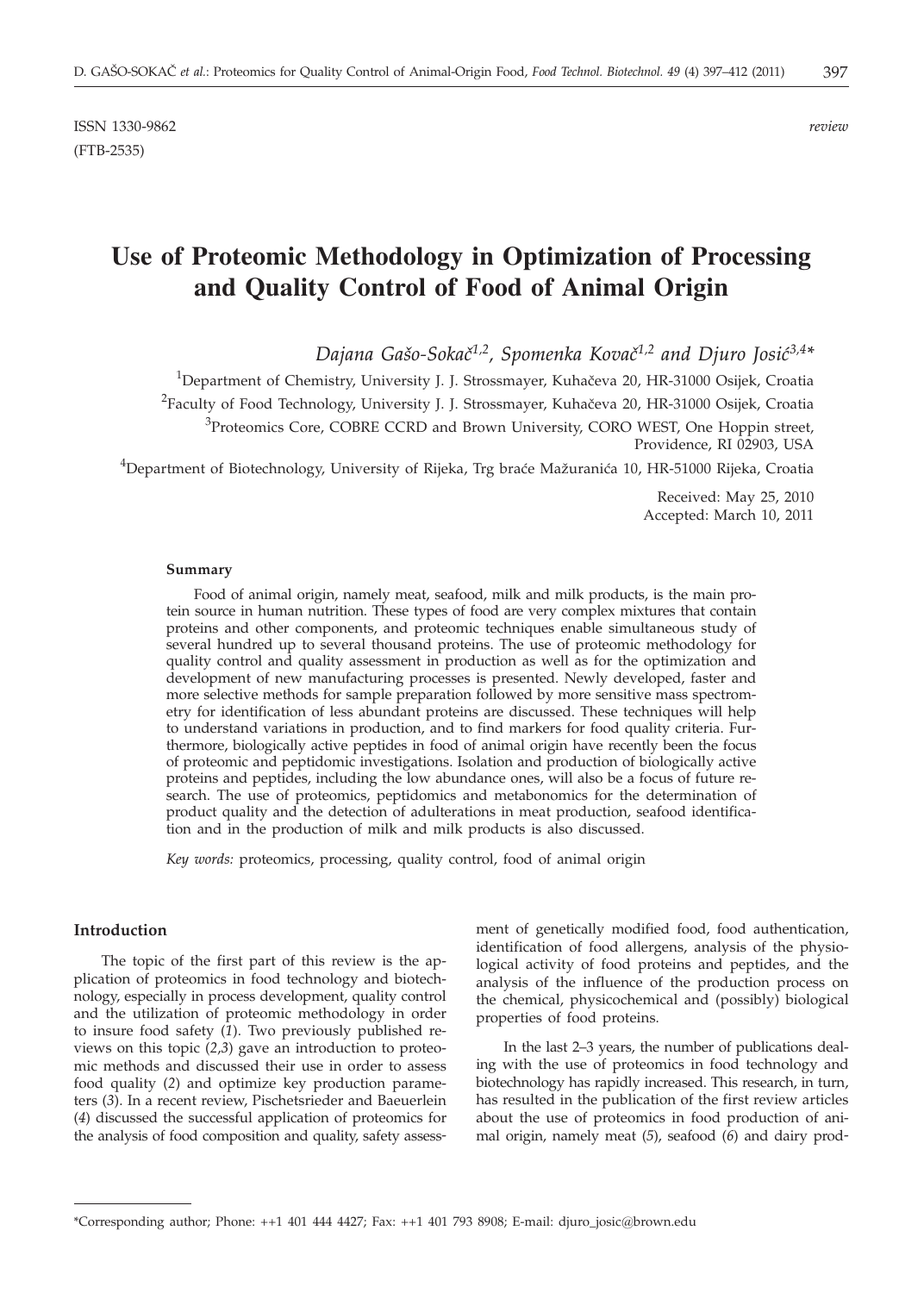# **Use of Proteomic Methodology in Optimization of Processing and Quality Control of Food of Animal Origin**

Dajana Gašo-Sokač<sup>1,2</sup>, Spomenka Kovač<sup>1,2</sup> and Djuro Josić<sup>3,4\*</sup>

<sup>1</sup>Department of Chemistry, University J. J. Strossmayer, Kuhačeva 20, HR-31000 Osijek, Croatia  $^{2}$ Faculty of Food Technology, University J. J. Strossmayer, Kuhačeva 20, HR-31000 Osijek, Croatia <sup>3</sup>Proteomics Core, COBRE CCRD and Brown University, CORO WEST, One Hoppin street, Providence, RI 02903, USA

 $^4$ Department of Biotechnology, University of Rijeka, Trg braće Mažuranića 10, HR-51000 Rijeka, Croatia

Received: May 25, 2010 Accepted: March 10, 2011

#### **Summary**

Food of animal origin, namely meat, seafood, milk and milk products, is the main protein source in human nutrition. These types of food are very complex mixtures that contain proteins and other components, and proteomic techniques enable simultaneous study of several hundred up to several thousand proteins. The use of proteomic methodology for quality control and quality assessment in production as well as for the optimization and development of new manufacturing processes is presented. Newly developed, faster and more selective methods for sample preparation followed by more sensitive mass spectrometry for identification of less abundant proteins are discussed. These techniques will help to understand variations in production, and to find markers for food quality criteria. Furthermore, biologically active peptides in food of animal origin have recently been the focus of proteomic and peptidomic investigations. Isolation and production of biologically active proteins and peptides, including the low abundance ones, will also be a focus of future research. The use of proteomics, peptidomics and metabonomics for the determination of product quality and the detection of adulterations in meat production, seafood identification and in the production of milk and milk products is also discussed.

*Key words:* proteomics, processing, quality control, food of animal origin

### **Introduction**

The topic of the first part of this review is the application of proteomics in food technology and biotechnology, especially in process development, quality control and the utilization of proteomic methodology in order to insure food safety (*1*). Two previously published reviews on this topic (*2*,*3*) gave an introduction to proteomic methods and discussed their use in order to assess food quality (*2*) and optimize key production parameters (*3*). In a recent review, Pischetsrieder and Baeuerlein (*4*) discussed the successful application of proteomics for the analysis of food composition and quality, safety assess-

ment of genetically modified food, food authentication, identification of food allergens, analysis of the physiological activity of food proteins and peptides, and the analysis of the influence of the production process on the chemical, physicochemical and (possibly) biological properties of food proteins.

In the last 2–3 years, the number of publications dealing with the use of proteomics in food technology and biotechnology has rapidly increased. This research, in turn, has resulted in the publication of the first review articles about the use of proteomics in food production of animal origin, namely meat (*5*), seafood (*6*) and dairy prod-

<sup>\*</sup>Corresponding author; Phone: ++1 401 444 4427; Fax: ++1 401 793 8908; E-mail: djuro\_josic@brown.edu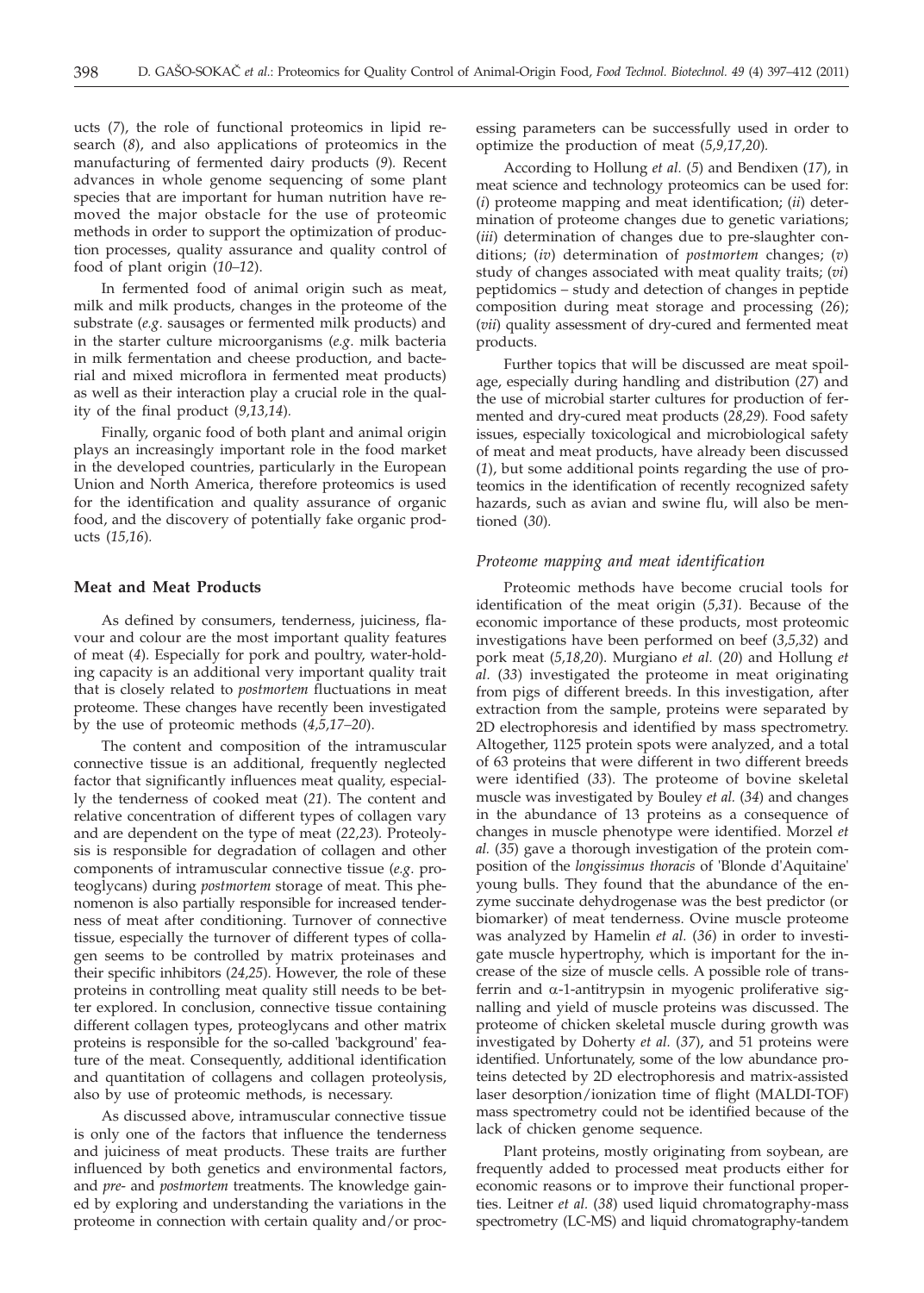ucts (*7*), the role of functional proteomics in lipid research (*8*), and also applications of proteomics in the manufacturing of fermented dairy products (*9*)*.* Recent advances in whole genome sequencing of some plant species that are important for human nutrition have removed the major obstacle for the use of proteomic methods in order to support the optimization of production processes, quality assurance and quality control of food of plant origin (*10–12*).

In fermented food of animal origin such as meat, milk and milk products, changes in the proteome of the substrate (*e.g*. sausages or fermented milk products) and in the starter culture microorganisms (*e.g*. milk bacteria in milk fermentation and cheese production, and bacterial and mixed microflora in fermented meat products) as well as their interaction play a crucial role in the quality of the final product (*9,13,14*)*.*

Finally, organic food of both plant and animal origin plays an increasingly important role in the food market in the developed countries, particularly in the European Union and North America, therefore proteomics is used for the identification and quality assurance of organic food, and the discovery of potentially fake organic products (*15,16*)*.*

## **Meat and Meat Products**

As defined by consumers, tenderness, juiciness, flavour and colour are the most important quality features of meat (*4*). Especially for pork and poultry, water-holding capacity is an additional very important quality trait that is closely related to *postmortem* fluctuations in meat proteome. These changes have recently been investigated by the use of proteomic methods (*4,5,17–20*).

The content and composition of the intramuscular connective tissue is an additional, frequently neglected factor that significantly influences meat quality, especially the tenderness of cooked meat (*21*). The content and relative concentration of different types of collagen vary and are dependent on the type of meat (*22,23*)*.* Proteolysis is responsible for degradation of collagen and other components of intramuscular connective tissue (*e.g*. proteoglycans) during *postmortem* storage of meat. This phenomenon is also partially responsible for increased tenderness of meat after conditioning. Turnover of connective tissue, especially the turnover of different types of collagen seems to be controlled by matrix proteinases and their specific inhibitors (*24,25*). However, the role of these proteins in controlling meat quality still needs to be better explored. In conclusion, connective tissue containing different collagen types, proteoglycans and other matrix proteins is responsible for the so-called 'background' feature of the meat. Consequently, additional identification and quantitation of collagens and collagen proteolysis, also by use of proteomic methods, is necessary.

As discussed above, intramuscular connective tissue is only one of the factors that influence the tenderness and juiciness of meat products. These traits are further influenced by both genetics and environmental factors, and *pre*- and *postmortem* treatments. The knowledge gained by exploring and understanding the variations in the proteome in connection with certain quality and/or processing parameters can be successfully used in order to optimize the production of meat (*5,9,17,20*)*.*

According to Hollung *et al.* (*5*) and Bendixen (*17*), in meat science and technology proteomics can be used for: (*i*) proteome mapping and meat identification; (*ii*) determination of proteome changes due to genetic variations; (*iii*) determination of changes due to pre-slaughter conditions; (*iv*) determination of *postmortem* changes; (*v*) study of changes associated with meat quality traits; (*vi*) peptidomics – study and detection of changes in peptide composition during meat storage and processing (*26*); (*vii*) quality assessment of dry-cured and fermented meat products.

Further topics that will be discussed are meat spoilage, especially during handling and distribution (*27*) and the use of microbial starter cultures for production of fermented and dry-cured meat products (*28,29*)*.* Food safety issues, especially toxicological and microbiological safety of meat and meat products, have already been discussed (*1*), but some additional points regarding the use of proteomics in the identification of recently recognized safety hazards, such as avian and swine flu, will also be mentioned (*30*)*.*

## *Proteome mapping and meat identification*

Proteomic methods have become crucial tools for identification of the meat origin (*5,31*). Because of the economic importance of these products, most proteomic investigations have been performed on beef (*3,5,32*) and pork meat (*5,18,20*). Murgiano *et al.* (*20*) and Hollung *et al.* (*33*) investigated the proteome in meat originating from pigs of different breeds. In this investigation, after extraction from the sample, proteins were separated by 2D electrophoresis and identified by mass spectrometry. Altogether, 1125 protein spots were analyzed, and a total of 63 proteins that were different in two different breeds were identified (*33*). The proteome of bovine skeletal muscle was investigated by Bouley *et al.* (*34*) and changes in the abundance of 13 proteins as a consequence of changes in muscle phenotype were identified. Morzel *et al.* (*35*) gave a thorough investigation of the protein composition of the *longissimus thoracis* of 'Blonde d'Aquitaine' young bulls. They found that the abundance of the enzyme succinate dehydrogenase was the best predictor (or biomarker) of meat tenderness. Ovine muscle proteome was analyzed by Hamelin *et al.* (*36*) in order to investigate muscle hypertrophy, which is important for the increase of the size of muscle cells. A possible role of transferrin and  $\alpha$ -1-antitrypsin in myogenic proliferative signalling and yield of muscle proteins was discussed. The proteome of chicken skeletal muscle during growth was investigated by Doherty *et al.* (*37*), and 51 proteins were identified. Unfortunately, some of the low abundance proteins detected by 2D electrophoresis and matrix-assisted laser desorption/ionization time of flight (MALDI-TOF) mass spectrometry could not be identified because of the lack of chicken genome sequence.

Plant proteins, mostly originating from soybean, are frequently added to processed meat products either for economic reasons or to improve their functional properties. Leitner *et al.* (*38*) used liquid chromatography-mass spectrometry (LC-MS) and liquid chromatography-tandem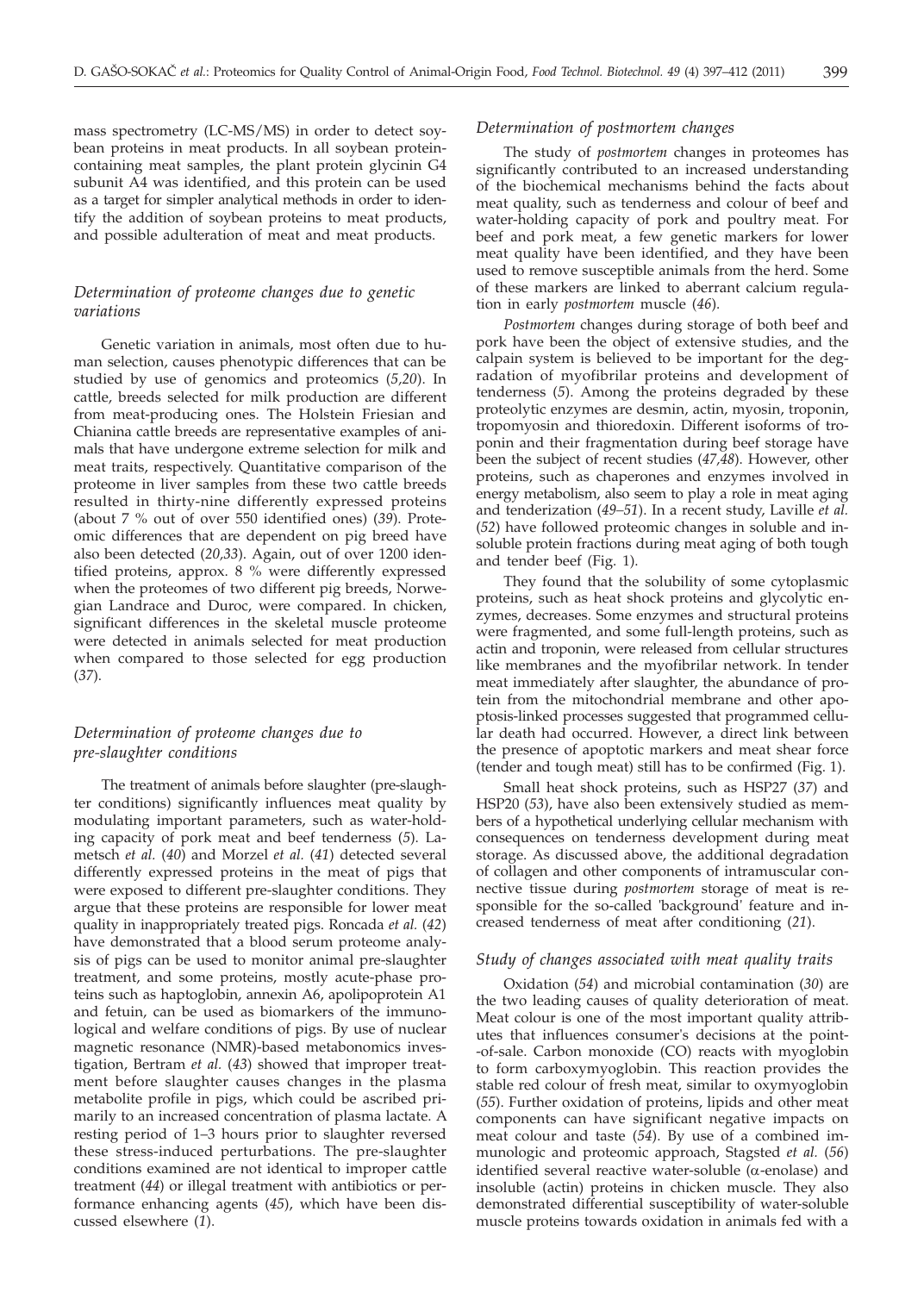mass spectrometry (LC-MS/MS) in order to detect soybean proteins in meat products. In all soybean proteincontaining meat samples, the plant protein glycinin G4 subunit A4 was identified, and this protein can be used as a target for simpler analytical methods in order to identify the addition of soybean proteins to meat products, and possible adulteration of meat and meat products.

# *Determination of proteome changes due to genetic variations*

Genetic variation in animals, most often due to human selection, causes phenotypic differences that can be studied by use of genomics and proteomics (*5,20*). In cattle, breeds selected for milk production are different from meat-producing ones. The Holstein Friesian and Chianina cattle breeds are representative examples of animals that have undergone extreme selection for milk and meat traits, respectively. Quantitative comparison of the proteome in liver samples from these two cattle breeds resulted in thirty-nine differently expressed proteins (about 7 % out of over 550 identified ones) (*39*). Proteomic differences that are dependent on pig breed have also been detected (*20,33*). Again, out of over 1200 identified proteins, approx. 8 % were differently expressed when the proteomes of two different pig breeds, Norwegian Landrace and Duroc, were compared. In chicken, significant differences in the skeletal muscle proteome were detected in animals selected for meat production when compared to those selected for egg production (*37*).

# *Determination of proteome changes due to pre-slaughter conditions*

The treatment of animals before slaughter (pre-slaughter conditions) significantly influences meat quality by modulating important parameters, such as water-holding capacity of pork meat and beef tenderness (*5*). Lametsch *et al.* (*40*) and Morzel *et al.* (*41*) detected several differently expressed proteins in the meat of pigs that were exposed to different pre-slaughter conditions. They argue that these proteins are responsible for lower meat quality in inappropriately treated pigs. Roncada *et al.* (*42*) have demonstrated that a blood serum proteome analysis of pigs can be used to monitor animal pre-slaughter treatment, and some proteins, mostly acute-phase proteins such as haptoglobin, annexin A6, apolipoprotein A1 and fetuin, can be used as biomarkers of the immunological and welfare conditions of pigs. By use of nuclear magnetic resonance (NMR)-based metabonomics investigation, Bertram *et al.* (*43*) showed that improper treatment before slaughter causes changes in the plasma metabolite profile in pigs, which could be ascribed primarily to an increased concentration of plasma lactate. A resting period of 1–3 hours prior to slaughter reversed these stress-induced perturbations. The pre-slaughter conditions examined are not identical to improper cattle treatment (*44*) or illegal treatment with antibiotics or performance enhancing agents (*45*), which have been discussed elsewhere (*1*).

## *Determination of postmortem changes*

The study of *postmortem* changes in proteomes has significantly contributed to an increased understanding of the biochemical mechanisms behind the facts about meat quality, such as tenderness and colour of beef and water-holding capacity of pork and poultry meat. For beef and pork meat, a few genetic markers for lower meat quality have been identified, and they have been used to remove susceptible animals from the herd. Some of these markers are linked to aberrant calcium regulation in early *postmortem* muscle (*46*).

*Postmortem* changes during storage of both beef and pork have been the object of extensive studies, and the calpain system is believed to be important for the degradation of myofibrilar proteins and development of tenderness (*5*). Among the proteins degraded by these proteolytic enzymes are desmin, actin, myosin, troponin, tropomyosin and thioredoxin. Different isoforms of troponin and their fragmentation during beef storage have been the subject of recent studies (*47,48*). However, other proteins, such as chaperones and enzymes involved in energy metabolism, also seem to play a role in meat aging and tenderization (*49–51*). In a recent study, Laville *et al.* (*52*) have followed proteomic changes in soluble and insoluble protein fractions during meat aging of both tough and tender beef (Fig. 1).

They found that the solubility of some cytoplasmic proteins, such as heat shock proteins and glycolytic enzymes, decreases. Some enzymes and structural proteins were fragmented, and some full-length proteins, such as actin and troponin, were released from cellular structures like membranes and the myofibrilar network. In tender meat immediately after slaughter, the abundance of protein from the mitochondrial membrane and other apoptosis-linked processes suggested that programmed cellular death had occurred. However, a direct link between the presence of apoptotic markers and meat shear force (tender and tough meat) still has to be confirmed (Fig. 1).

Small heat shock proteins, such as HSP27 (*37*) and HSP20 (*53*), have also been extensively studied as members of a hypothetical underlying cellular mechanism with consequences on tenderness development during meat storage. As discussed above, the additional degradation of collagen and other components of intramuscular connective tissue during *postmortem* storage of meat is responsible for the so-called 'background' feature and increased tenderness of meat after conditioning (*21*).

#### *Study of changes associated with meat quality traits*

Oxidation (*54*) and microbial contamination (*30*) are the two leading causes of quality deterioration of meat. Meat colour is one of the most important quality attributes that influences consumer's decisions at the point- -of-sale. Carbon monoxide (CO) reacts with myoglobin to form carboxymyoglobin. This reaction provides the stable red colour of fresh meat, similar to oxymyoglobin (*55*). Further oxidation of proteins, lipids and other meat components can have significant negative impacts on meat colour and taste (*54*). By use of a combined immunologic and proteomic approach, Stagsted *et al.* (*56*) identified several reactive water-soluble ( $\alpha$ -enolase) and insoluble (actin) proteins in chicken muscle. They also demonstrated differential susceptibility of water-soluble muscle proteins towards oxidation in animals fed with a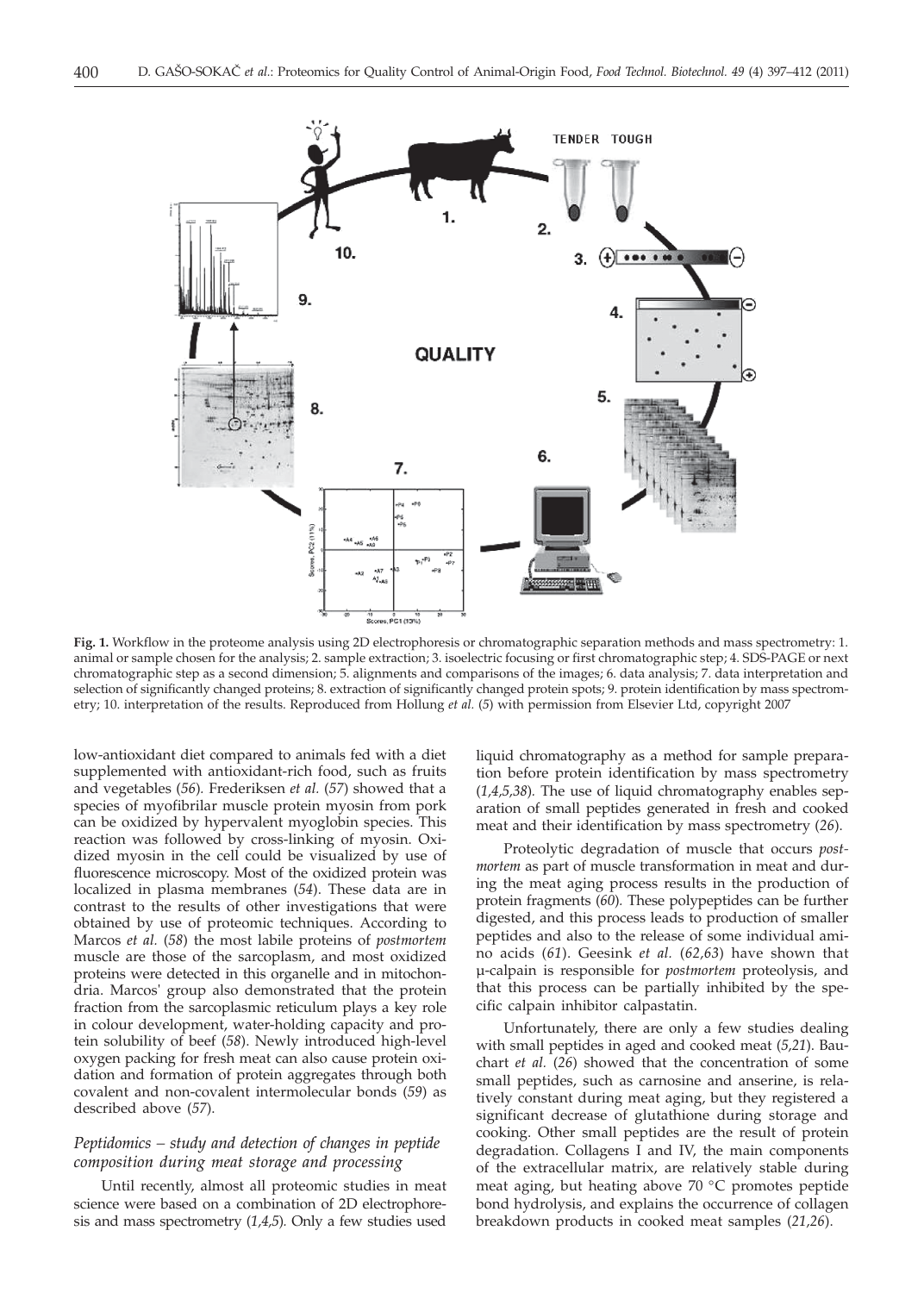

**Fig. 1.** Workflow in the proteome analysis using 2D electrophoresis or chromatographic separation methods and mass spectrometry: 1. animal or sample chosen for the analysis; 2. sample extraction; 3. isoelectric focusing or first chromatographic step; 4. SDS-PAGE or next chromatographic step as a second dimension; 5. alignments and comparisons of the images; 6. data analysis; 7. data interpretation and selection of significantly changed proteins; 8. extraction of significantly changed protein spots; 9. protein identification by mass spectrometry; 10. interpretation of the results. Reproduced from Hollung *et al.* (*5*) with permission from Elsevier Ltd, copyright 2007

low-antioxidant diet compared to animals fed with a diet supplemented with antioxidant-rich food, such as fruits and vegetables (*56*)*.* Frederiksen *et al.* (*57*) showed that a species of myofibrilar muscle protein myosin from pork can be oxidized by hypervalent myoglobin species. This reaction was followed by cross-linking of myosin. Oxidized myosin in the cell could be visualized by use of fluorescence microscopy. Most of the oxidized protein was localized in plasma membranes (*54*). These data are in contrast to the results of other investigations that were obtained by use of proteomic techniques. According to Marcos *et al.* (*58*) the most labile proteins of *postmortem* muscle are those of the sarcoplasm, and most oxidized proteins were detected in this organelle and in mitochondria. Marcos' group also demonstrated that the protein fraction from the sarcoplasmic reticulum plays a key role in colour development, water-holding capacity and protein solubility of beef (*58*). Newly introduced high-level oxygen packing for fresh meat can also cause protein oxidation and formation of protein aggregates through both covalent and non-covalent intermolecular bonds (*59*) as described above (*57*).

# *Peptidomics – study and detection of changes in peptide composition during meat storage and processing*

Until recently, almost all proteomic studies in meat science were based on a combination of 2D electrophoresis and mass spectrometry (*1,4,5*)*.* Only a few studies used

liquid chromatography as a method for sample preparation before protein identification by mass spectrometry (*1,4,5,38*)*.* The use of liquid chromatography enables separation of small peptides generated in fresh and cooked meat and their identification by mass spectrometry (*26*).

Proteolytic degradation of muscle that occurs *postmortem* as part of muscle transformation in meat and during the meat aging process results in the production of protein fragments (*60*)*.* These polypeptides can be further digested, and this process leads to production of smaller peptides and also to the release of some individual amino acids (*61*). Geesink *et al.* (*62,63*) have shown that µ-calpain is responsible for *postmortem* proteolysis, and that this process can be partially inhibited by the specific calpain inhibitor calpastatin.

Unfortunately, there are only a few studies dealing with small peptides in aged and cooked meat (*5,21*). Bauchart *et al.* (*26*) showed that the concentration of some small peptides, such as carnosine and anserine, is relatively constant during meat aging, but they registered a significant decrease of glutathione during storage and cooking. Other small peptides are the result of protein degradation. Collagens I and IV, the main components of the extracellular matrix, are relatively stable during meat aging, but heating above 70 °C promotes peptide bond hydrolysis, and explains the occurrence of collagen breakdown products in cooked meat samples (*21,26*).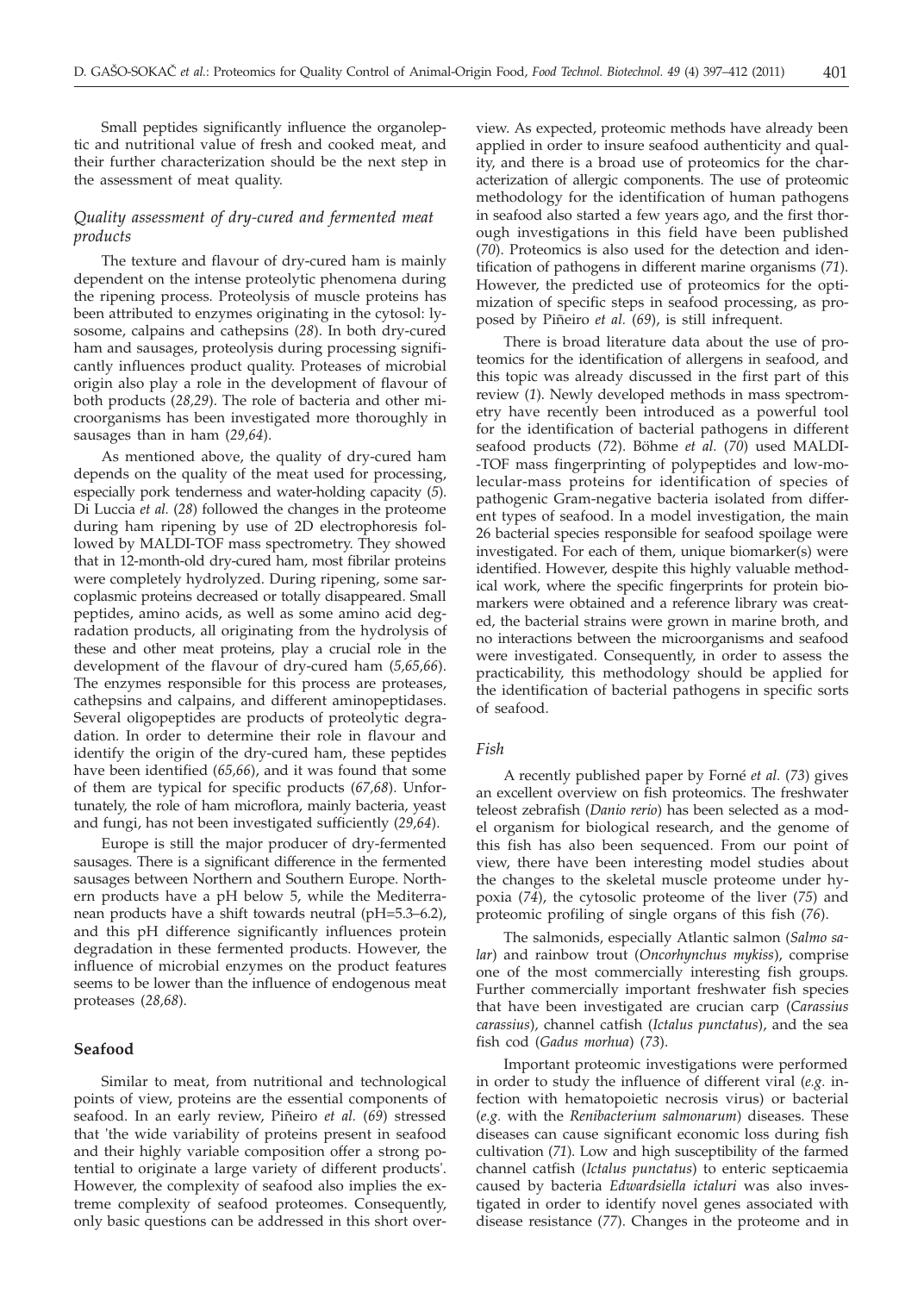Small peptides significantly influence the organoleptic and nutritional value of fresh and cooked meat, and their further characterization should be the next step in the assessment of meat quality.

# *Quality assessment of dry-cured and fermented meat products*

The texture and flavour of dry-cured ham is mainly dependent on the intense proteolytic phenomena during the ripening process. Proteolysis of muscle proteins has been attributed to enzymes originating in the cytosol: lysosome, calpains and cathepsins (*28*). In both dry-cured ham and sausages, proteolysis during processing significantly influences product quality. Proteases of microbial origin also play a role in the development of flavour of both products (*28,29*). The role of bacteria and other microorganisms has been investigated more thoroughly in sausages than in ham (*29,64*).

As mentioned above, the quality of dry-cured ham depends on the quality of the meat used for processing, especially pork tenderness and water-holding capacity (*5*). Di Luccia *et al.* (*28*) followed the changes in the proteome during ham ripening by use of 2D electrophoresis followed by MALDI-TOF mass spectrometry. They showed that in 12-month-old dry-cured ham, most fibrilar proteins were completely hydrolyzed. During ripening, some sarcoplasmic proteins decreased or totally disappeared. Small peptides, amino acids, as well as some amino acid degradation products, all originating from the hydrolysis of these and other meat proteins, play a crucial role in the development of the flavour of dry-cured ham (*5,65,66*). The enzymes responsible for this process are proteases, cathepsins and calpains, and different aminopeptidases. Several oligopeptides are products of proteolytic degradation. In order to determine their role in flavour and identify the origin of the dry-cured ham, these peptides have been identified (*65,66*), and it was found that some of them are typical for specific products (*67,68*). Unfortunately, the role of ham microflora, mainly bacteria, yeast and fungi, has not been investigated sufficiently (*29,64*).

Europe is still the major producer of dry-fermented sausages. There is a significant difference in the fermented sausages between Northern and Southern Europe. Northern products have a pH below 5, while the Mediterranean products have a shift towards neutral (pH=5.3–6.2), and this pH difference significantly influences protein degradation in these fermented products. However, the influence of microbial enzymes on the product features seems to be lower than the influence of endogenous meat proteases (*28,68*).

## **Seafood**

Similar to meat, from nutritional and technological points of view, proteins are the essential components of seafood. In an early review, Piñeiro *et al.* (*69*) stressed that 'the wide variability of proteins present in seafood and their highly variable composition offer a strong potential to originate a large variety of different products'. However, the complexity of seafood also implies the extreme complexity of seafood proteomes. Consequently, only basic questions can be addressed in this short over-

view. As expected, proteomic methods have already been applied in order to insure seafood authenticity and quality, and there is a broad use of proteomics for the characterization of allergic components. The use of proteomic methodology for the identification of human pathogens in seafood also started a few years ago, and the first thorough investigations in this field have been published (*70*). Proteomics is also used for the detection and identification of pathogens in different marine organisms (*71*). However, the predicted use of proteomics for the optimization of specific steps in seafood processing, as proposed by Piñeiro *et al.* (*69*), is still infrequent.

There is broad literature data about the use of proteomics for the identification of allergens in seafood, and this topic was already discussed in the first part of this review (*1*). Newly developed methods in mass spectrometry have recently been introduced as a powerful tool for the identification of bacterial pathogens in different seafood products (*72*). Böhme *et al.* (*70*) used MALDI- -TOF mass fingerprinting of polypeptides and low-molecular-mass proteins for identification of species of pathogenic Gram-negative bacteria isolated from different types of seafood. In a model investigation, the main 26 bacterial species responsible for seafood spoilage were investigated. For each of them, unique biomarker(s) were identified. However, despite this highly valuable methodical work, where the specific fingerprints for protein biomarkers were obtained and a reference library was created, the bacterial strains were grown in marine broth, and no interactions between the microorganisms and seafood were investigated. Consequently, in order to assess the practicability, this methodology should be applied for the identification of bacterial pathogens in specific sorts of seafood.

### *Fish*

A recently published paper by Forné *et al.* (*73*) gives an excellent overview on fish proteomics. The freshwater teleost zebrafish (*Danio rerio*) has been selected as a model organism for biological research, and the genome of this fish has also been sequenced. From our point of view, there have been interesting model studies about the changes to the skeletal muscle proteome under hypoxia (*74*), the cytosolic proteome of the liver (*75*) and proteomic profiling of single organs of this fish (*76*).

The salmonids, especially Atlantic salmon (*Salmo salar*) and rainbow trout (*Oncorhynchus mykiss*), comprise one of the most commercially interesting fish groups*.* Further commercially important freshwater fish species that have been investigated are crucian carp (*Carassius carassius*)*,* channel catfish (*Ictalus punctatus*), and the sea fish cod (*Gadus morhua*) (*73*).

Important proteomic investigations were performed in order to study the influence of different viral (*e.g.* infection with hematopoietic necrosis virus) or bacterial (*e.g.* with the *Renibacterium salmonarum*) diseases. These diseases can cause significant economic loss during fish cultivation (*71*). Low and high susceptibility of the farmed channel catfish (*Ictalus punctatus*) to enteric septicaemia caused by bacteria *Edwardsiella ictaluri* was also investigated in order to identify novel genes associated with disease resistance (*77*). Changes in the proteome and in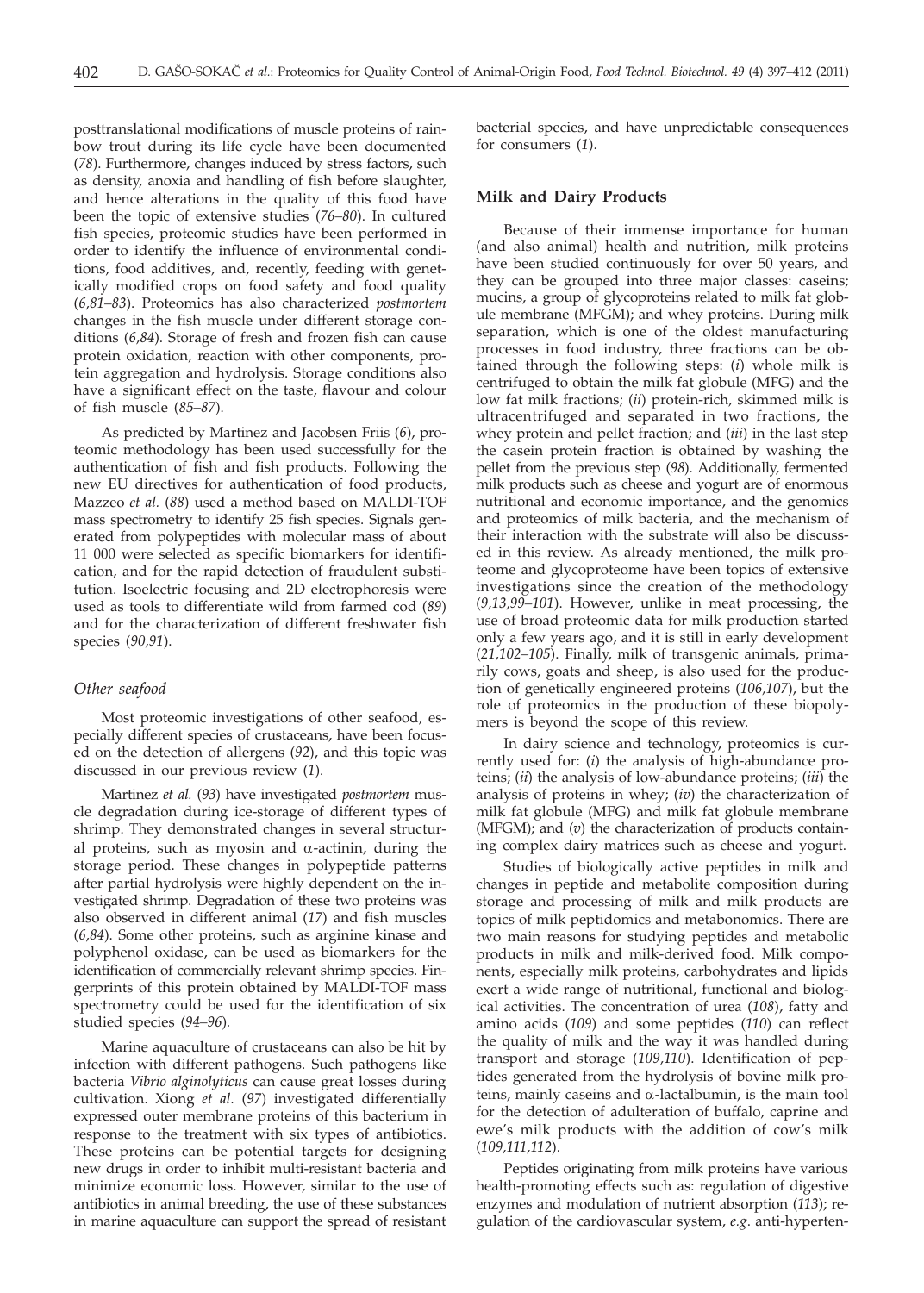posttranslational modifications of muscle proteins of rainbow trout during its life cycle have been documented (*78*). Furthermore, changes induced by stress factors, such as density, anoxia and handling of fish before slaughter, and hence alterations in the quality of this food have been the topic of extensive studies (*76–80*). In cultured fish species, proteomic studies have been performed in order to identify the influence of environmental conditions, food additives, and, recently, feeding with genetically modified crops on food safety and food quality (*6,81–83*). Proteomics has also characterized *postmortem* changes in the fish muscle under different storage conditions (*6,84*). Storage of fresh and frozen fish can cause protein oxidation, reaction with other components, protein aggregation and hydrolysis. Storage conditions also have a significant effect on the taste, flavour and colour of fish muscle (*85–87*).

As predicted by Martinez and Jacobsen Friis (*6*), proteomic methodology has been used successfully for the authentication of fish and fish products. Following the new EU directives for authentication of food products, Mazzeo *et al.* (*88*) used a method based on MALDI-TOF mass spectrometry to identify 25 fish species. Signals generated from polypeptides with molecular mass of about 11 000 were selected as specific biomarkers for identification, and for the rapid detection of fraudulent substitution. Isoelectric focusing and 2D electrophoresis were used as tools to differentiate wild from farmed cod (*89*) and for the characterization of different freshwater fish species (*90,91*).

## *Other seafood*

Most proteomic investigations of other seafood, especially different species of crustaceans, have been focused on the detection of allergens (*92*), and this topic was discussed in our previous review (*1*)*.*

Martinez *et al.* (*93*) have investigated *postmortem* muscle degradation during ice-storage of different types of shrimp. They demonstrated changes in several structural proteins, such as myosin and  $\alpha$ -actinin, during the storage period. These changes in polypeptide patterns after partial hydrolysis were highly dependent on the investigated shrimp. Degradation of these two proteins was also observed in different animal (*17*) and fish muscles (*6,84*). Some other proteins, such as arginine kinase and polyphenol oxidase, can be used as biomarkers for the identification of commercially relevant shrimp species. Fingerprints of this protein obtained by MALDI-TOF mass spectrometry could be used for the identification of six studied species (*94–96*)*.*

Marine aquaculture of crustaceans can also be hit by infection with different pathogens. Such pathogens like bacteria *Vibrio alginolyticus* can cause great losses during cultivation. Xiong *et al.* (*97*) investigated differentially expressed outer membrane proteins of this bacterium in response to the treatment with six types of antibiotics. These proteins can be potential targets for designing new drugs in order to inhibit multi-resistant bacteria and minimize economic loss. However, similar to the use of antibiotics in animal breeding, the use of these substances in marine aquaculture can support the spread of resistant bacterial species, and have unpredictable consequences for consumers (*1*).

## **Milk and Dairy Products**

Because of their immense importance for human (and also animal) health and nutrition, milk proteins have been studied continuously for over 50 years, and they can be grouped into three major classes: caseins; mucins, a group of glycoproteins related to milk fat globule membrane (MFGM); and whey proteins. During milk separation, which is one of the oldest manufacturing processes in food industry, three fractions can be obtained through the following steps: (*i*) whole milk is centrifuged to obtain the milk fat globule (MFG) and the low fat milk fractions; (*ii*) protein-rich, skimmed milk is ultracentrifuged and separated in two fractions, the whey protein and pellet fraction; and (*iii*) in the last step the casein protein fraction is obtained by washing the pellet from the previous step (*98*). Additionally, fermented milk products such as cheese and yogurt are of enormous nutritional and economic importance, and the genomics and proteomics of milk bacteria, and the mechanism of their interaction with the substrate will also be discussed in this review. As already mentioned, the milk proteome and glycoproteome have been topics of extensive investigations since the creation of the methodology (*9,13,99–101*). However, unlike in meat processing, the use of broad proteomic data for milk production started only a few years ago, and it is still in early development (*21,102–105*). Finally, milk of transgenic animals, primarily cows, goats and sheep, is also used for the production of genetically engineered proteins (*106,107*), but the role of proteomics in the production of these biopolymers is beyond the scope of this review.

In dairy science and technology, proteomics is currently used for: (*i*) the analysis of high-abundance proteins; (*ii*) the analysis of low-abundance proteins; (*iii*) the analysis of proteins in whey; (*iv*) the characterization of milk fat globule (MFG) and milk fat globule membrane (MFGM); and (*v*) the characterization of products containing complex dairy matrices such as cheese and yogurt.

Studies of biologically active peptides in milk and changes in peptide and metabolite composition during storage and processing of milk and milk products are topics of milk peptidomics and metabonomics. There are two main reasons for studying peptides and metabolic products in milk and milk-derived food. Milk components, especially milk proteins, carbohydrates and lipids exert a wide range of nutritional, functional and biological activities. The concentration of urea (*108*), fatty and amino acids (*109*) and some peptides (*110*) can reflect the quality of milk and the way it was handled during transport and storage (*109,110*). Identification of peptides generated from the hydrolysis of bovine milk proteins, mainly caseins and  $\alpha$ -lactalbumin, is the main tool for the detection of adulteration of buffalo, caprine and ewe's milk products with the addition of cow's milk (*109,111,112*).

Peptides originating from milk proteins have various health-promoting effects such as: regulation of digestive enzymes and modulation of nutrient absorption (*113*); regulation of the cardiovascular system, *e.g*. anti-hyperten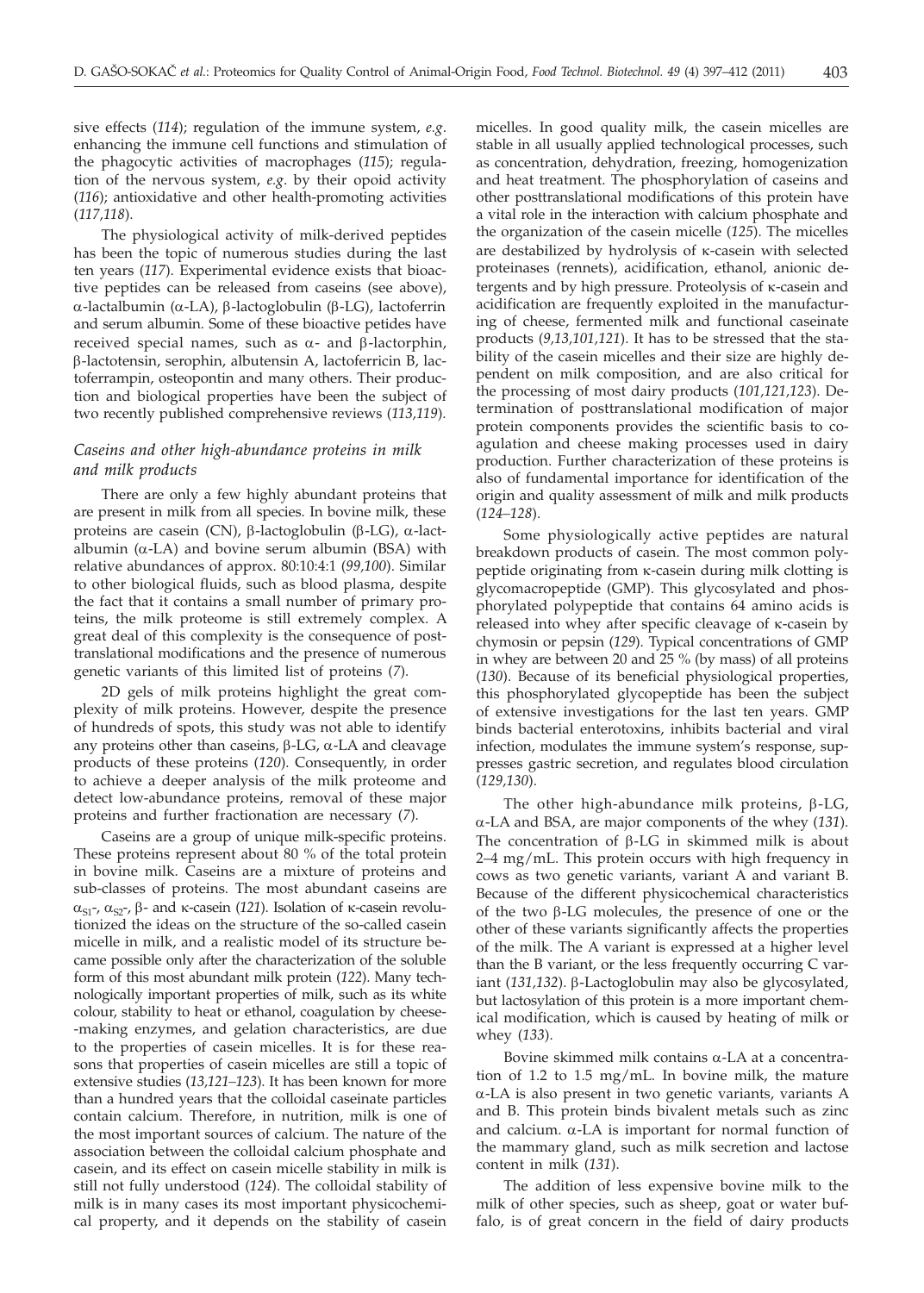sive effects (*114*); regulation of the immune system, *e.g*. enhancing the immune cell functions and stimulation of the phagocytic activities of macrophages (*115*); regulation of the nervous system, *e.g*. by their opoid activity (*116*); antioxidative and other health-promoting activities (*117,118*).

The physiological activity of milk-derived peptides has been the topic of numerous studies during the last ten years (*117*). Experimental evidence exists that bioactive peptides can be released from caseins (see above),  $\alpha$ -lactalbumin ( $\alpha$ -LA),  $\beta$ -lactoglobulin ( $\beta$ -LG), lactoferrin and serum albumin. Some of these bioactive petides have received special names, such as  $\alpha$ - and  $\beta$ -lactorphin, b-lactotensin, serophin, albutensin A, lactoferricin B, lactoferrampin, osteopontin and many others. Their production and biological properties have been the subject of two recently published comprehensive reviews (*113,119*).

# *Caseins and other high-abundance proteins in milk and milk products*

There are only a few highly abundant proteins that are present in milk from all species. In bovine milk, these proteins are casein (CN),  $\beta$ -lactoglobulin ( $\beta$ -LG),  $\alpha$ -lactalbumin ( $\alpha$ -LA) and bovine serum albumin (BSA) with relative abundances of approx. 80:10:4:1 (*99,100*). Similar to other biological fluids, such as blood plasma, despite the fact that it contains a small number of primary proteins, the milk proteome is still extremely complex. A great deal of this complexity is the consequence of posttranslational modifications and the presence of numerous genetic variants of this limited list of proteins (*7*).

2D gels of milk proteins highlight the great complexity of milk proteins. However, despite the presence of hundreds of spots, this study was not able to identify any proteins other than caseins,  $\beta$ -LG,  $\alpha$ -LA and cleavage products of these proteins (*120*). Consequently, in order to achieve a deeper analysis of the milk proteome and detect low-abundance proteins, removal of these major proteins and further fractionation are necessary (*7*).

Caseins are a group of unique milk-specific proteins. These proteins represent about 80 % of the total protein in bovine milk. Caseins are a mixture of proteins and sub-classes of proteins. The most abundant caseins are  $\alpha_{S1}$ -,  $\alpha_{S2}$ -,  $\beta$ - and k-casein (121). Isolation of k-casein revolutionized the ideas on the structure of the so-called casein micelle in milk, and a realistic model of its structure became possible only after the characterization of the soluble form of this most abundant milk protein (*122*). Many technologically important properties of milk, such as its white colour, stability to heat or ethanol, coagulation by cheese- -making enzymes, and gelation characteristics, are due to the properties of casein micelles. It is for these reasons that properties of casein micelles are still a topic of extensive studies (*13,121–123*). It has been known for more than a hundred years that the colloidal caseinate particles contain calcium. Therefore, in nutrition, milk is one of the most important sources of calcium. The nature of the association between the colloidal calcium phosphate and casein, and its effect on casein micelle stability in milk is still not fully understood (*124*). The colloidal stability of milk is in many cases its most important physicochemical property, and it depends on the stability of casein

micelles. In good quality milk, the casein micelles are stable in all usually applied technological processes, such as concentration, dehydration, freezing, homogenization and heat treatment. The phosphorylation of caseins and other posttranslational modifications of this protein have a vital role in the interaction with calcium phosphate and the organization of the casein micelle (*125*). The micelles are destabilized by hydrolysis of k-casein with selected proteinases (rennets), acidification, ethanol, anionic detergents and by high pressure. Proteolysis of k-casein and acidification are frequently exploited in the manufacturing of cheese, fermented milk and functional caseinate products (*9,13,101,121*). It has to be stressed that the stability of the casein micelles and their size are highly dependent on milk composition, and are also critical for the processing of most dairy products (*101,121,123*). Determination of posttranslational modification of major protein components provides the scientific basis to coagulation and cheese making processes used in dairy production. Further characterization of these proteins is also of fundamental importance for identification of the origin and quality assessment of milk and milk products (*124–128*).

Some physiologically active peptides are natural breakdown products of casein. The most common polypeptide originating from k-casein during milk clotting is glycomacropeptide (GMP). This glycosylated and phosphorylated polypeptide that contains 64 amino acids is released into whey after specific cleavage of k-casein by chymosin or pepsin (*129*). Typical concentrations of GMP in whey are between 20 and 25 % (by mass) of all proteins (*130*). Because of its beneficial physiological properties, this phosphorylated glycopeptide has been the subject of extensive investigations for the last ten years. GMP binds bacterial enterotoxins, inhibits bacterial and viral infection, modulates the immune system's response, suppresses gastric secretion, and regulates blood circulation (*129,130*).

The other high-abundance milk proteins,  $\beta$ -LG, a-LA and BSA, are major components of the whey (*131*). The concentration of  $\beta$ -LG in skimmed milk is about 2–4 mg/mL. This protein occurs with high frequency in cows as two genetic variants, variant A and variant B. Because of the different physicochemical characteristics of the two  $\beta$ -LG molecules, the presence of one or the other of these variants significantly affects the properties of the milk. The A variant is expressed at a higher level than the B variant, or the less frequently occurring C variant (131,132). β-Lactoglobulin may also be glycosylated, but lactosylation of this protein is a more important chemical modification, which is caused by heating of milk or whey (*133*).

Bovine skimmed milk contains  $\alpha$ -LA at a concentration of 1.2 to 1.5 mg/mL. In bovine milk, the mature a-LA is also present in two genetic variants, variants A and B. This protein binds bivalent metals such as zinc and calcium.  $\alpha$ -LA is important for normal function of the mammary gland, such as milk secretion and lactose content in milk (*131*).

The addition of less expensive bovine milk to the milk of other species, such as sheep, goat or water buffalo, is of great concern in the field of dairy products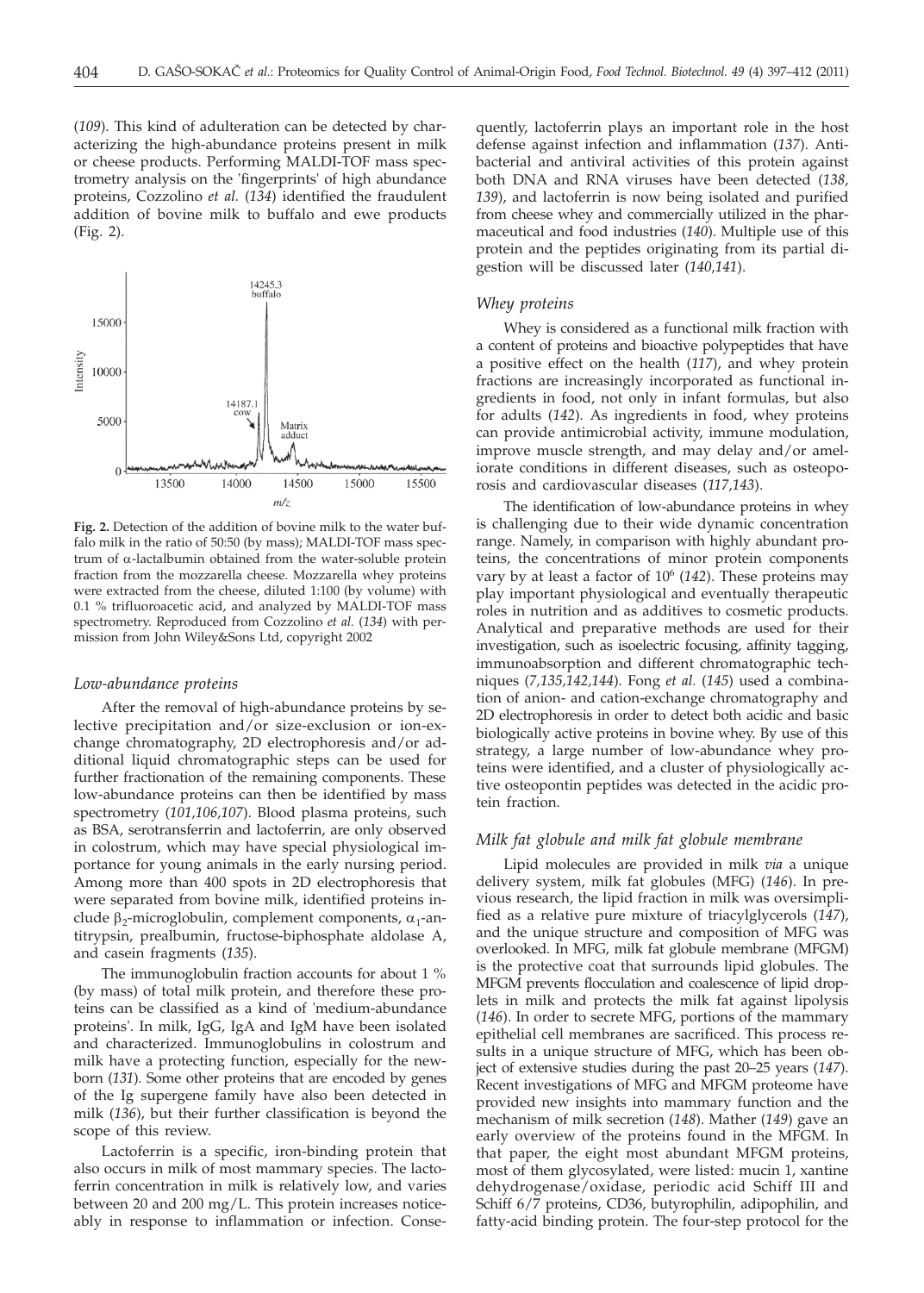(*109*). This kind of adulteration can be detected by characterizing the high-abundance proteins present in milk or cheese products. Performing MALDI-TOF mass spectrometry analysis on the 'fingerprints' of high abundance proteins, Cozzolino *et al.* (*134*) identified the fraudulent addition of bovine milk to buffalo and ewe products (Fig. 2).



**Fig. 2.** Detection of the addition of bovine milk to the water buffalo milk in the ratio of 50:50 (by mass); MALDI-TOF mass spectrum of a-lactalbumin obtained from the water-soluble protein fraction from the mozzarella cheese. Mozzarella whey proteins were extracted from the cheese, diluted 1:100 (by volume) with 0.1 % trifluoroacetic acid, and analyzed by MALDI-TOF mass spectrometry. Reproduced from Cozzolino *et al.* (*134*) with permission from John Wiley&Sons Ltd, copyright 2002

#### *Low-abundance proteins*

After the removal of high-abundance proteins by selective precipitation and/or size-exclusion or ion-exchange chromatography, 2D electrophoresis and/or additional liquid chromatographic steps can be used for further fractionation of the remaining components. These low-abundance proteins can then be identified by mass spectrometry (*101,106,107*). Blood plasma proteins, such as BSA, serotransferrin and lactoferrin, are only observed in colostrum, which may have special physiological importance for young animals in the early nursing period. Among more than 400 spots in 2D electrophoresis that were separated from bovine milk, identified proteins include  $\beta_2$ -microglobulin, complement components,  $\alpha_1$ -antitrypsin, prealbumin, fructose-biphosphate aldolase A, and casein fragments (*135*).

The immunoglobulin fraction accounts for about 1 % (by mass) of total milk protein, and therefore these proteins can be classified as a kind of 'medium-abundance proteins'. In milk, IgG, IgA and IgM have been isolated and characterized. Immunoglobulins in colostrum and milk have a protecting function, especially for the newborn (*131*). Some other proteins that are encoded by genes of the Ig supergene family have also been detected in milk (*136*), but their further classification is beyond the scope of this review.

Lactoferrin is a specific, iron-binding protein that also occurs in milk of most mammary species. The lactoferrin concentration in milk is relatively low, and varies between 20 and 200 mg/L. This protein increases noticeably in response to inflammation or infection. Conse-

quently, lactoferrin plays an important role in the host defense against infection and inflammation (*137*). Antibacterial and antiviral activities of this protein against both DNA and RNA viruses have been detected (*138, 139*), and lactoferrin is now being isolated and purified from cheese whey and commercially utilized in the pharmaceutical and food industries (*140*). Multiple use of this protein and the peptides originating from its partial digestion will be discussed later (*140,141*).

#### *Whey proteins*

Whey is considered as a functional milk fraction with a content of proteins and bioactive polypeptides that have a positive effect on the health (*117*), and whey protein fractions are increasingly incorporated as functional ingredients in food, not only in infant formulas, but also for adults (*142*). As ingredients in food, whey proteins can provide antimicrobial activity, immune modulation, improve muscle strength, and may delay and/or ameliorate conditions in different diseases, such as osteoporosis and cardiovascular diseases (*117,143*).

The identification of low-abundance proteins in whey is challenging due to their wide dynamic concentration range. Namely, in comparison with highly abundant proteins, the concentrations of minor protein components vary by at least a factor of 10<sup>6</sup> (142). These proteins may play important physiological and eventually therapeutic roles in nutrition and as additives to cosmetic products. Analytical and preparative methods are used for their investigation, such as isoelectric focusing, affinity tagging, immunoabsorption and different chromatographic techniques (*7,135,142,144*). Fong *et al.* (*145*) used a combination of anion- and cation-exchange chromatography and 2D electrophoresis in order to detect both acidic and basic biologically active proteins in bovine whey. By use of this strategy, a large number of low-abundance whey proteins were identified, and a cluster of physiologically active osteopontin peptides was detected in the acidic protein fraction.

#### *Milk fat globule and milk fat globule membrane*

Lipid molecules are provided in milk *via* a unique delivery system, milk fat globules (MFG) (*146*). In previous research, the lipid fraction in milk was oversimplified as a relative pure mixture of triacylglycerols (*147*), and the unique structure and composition of MFG was overlooked. In MFG, milk fat globule membrane (MFGM) is the protective coat that surrounds lipid globules. The MFGM prevents flocculation and coalescence of lipid droplets in milk and protects the milk fat against lipolysis (*146*). In order to secrete MFG, portions of the mammary epithelial cell membranes are sacrificed. This process results in a unique structure of MFG, which has been object of extensive studies during the past 20–25 years (*147*). Recent investigations of MFG and MFGM proteome have provided new insights into mammary function and the mechanism of milk secretion (*148*). Mather (*149*) gave an early overview of the proteins found in the MFGM. In that paper, the eight most abundant MFGM proteins, most of them glycosylated, were listed: mucin 1, xantine dehydrogenase/oxidase, periodic acid Schiff III and Schiff 6/7 proteins, CD36, butyrophilin, adipophilin, and fatty-acid binding protein. The four-step protocol for the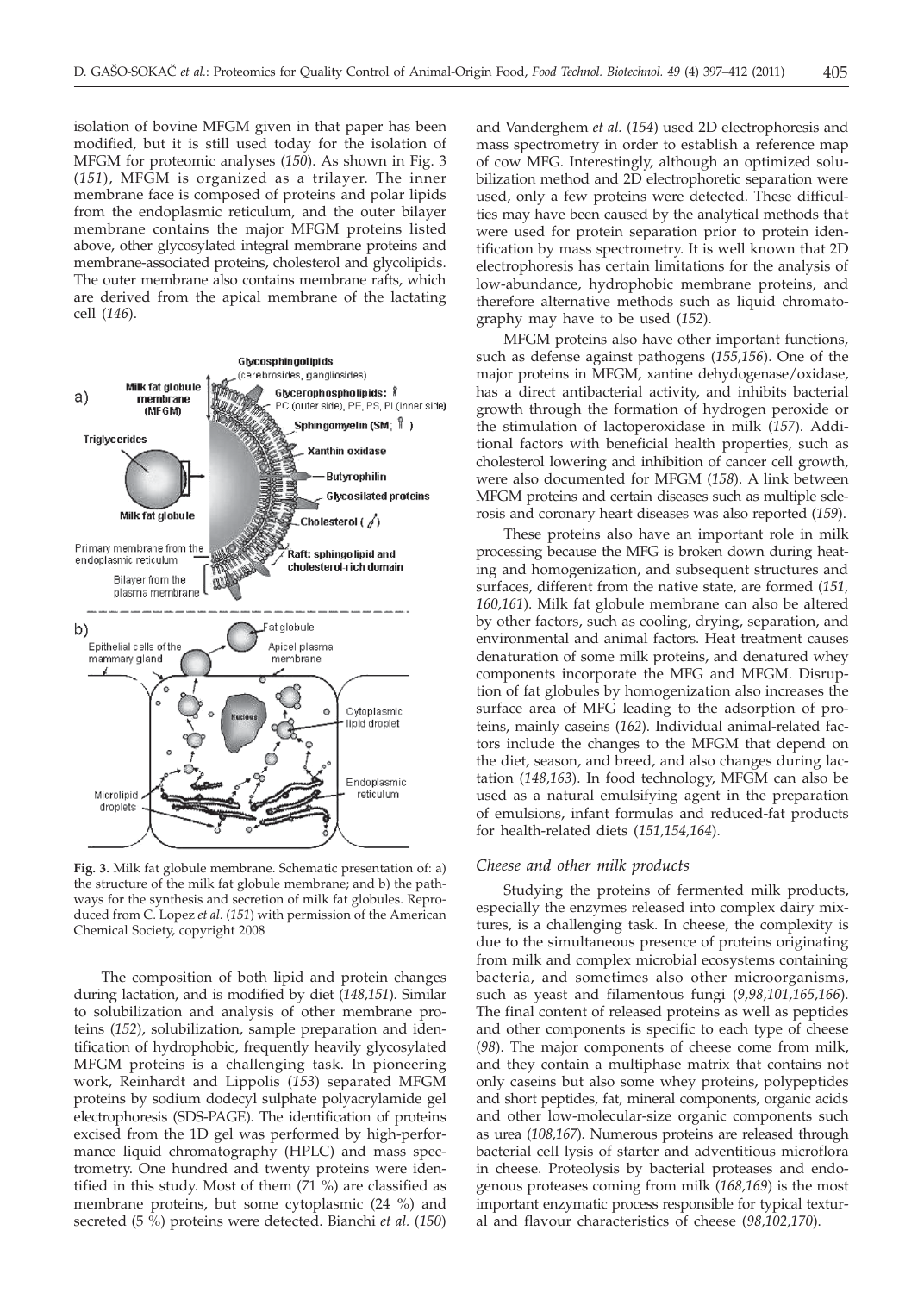isolation of bovine MFGM given in that paper has been modified, but it is still used today for the isolation of MFGM for proteomic analyses (*150*). As shown in Fig. 3 (*151*), MFGM is organized as a trilayer. The inner membrane face is composed of proteins and polar lipids from the endoplasmic reticulum, and the outer bilayer membrane contains the major MFGM proteins listed above, other glycosylated integral membrane proteins and membrane-associated proteins, cholesterol and glycolipids. The outer membrane also contains membrane rafts, which are derived from the apical membrane of the lactating cell (*146*).



**Fig. 3.** Milk fat globule membrane. Schematic presentation of: a) the structure of the milk fat globule membrane; and b) the pathways for the synthesis and secretion of milk fat globules. Reproduced from C. Lopez *et al.* (*151*) with permission of the American Chemical Society, copyright 2008

The composition of both lipid and protein changes during lactation, and is modified by diet (*148,151*). Similar to solubilization and analysis of other membrane proteins (*152*), solubilization, sample preparation and identification of hydrophobic, frequently heavily glycosylated MFGM proteins is a challenging task. In pioneering work, Reinhardt and Lippolis (*153*) separated MFGM proteins by sodium dodecyl sulphate polyacrylamide gel electrophoresis (SDS-PAGE). The identification of proteins excised from the 1D gel was performed by high-performance liquid chromatography (HPLC) and mass spectrometry. One hundred and twenty proteins were identified in this study. Most of them  $(71\%)$  are classified as membrane proteins, but some cytoplasmic (24 %) and secreted (5 %) proteins were detected. Bianchi *et al.* (*150*)

and Vanderghem *et al.* (*154*) used 2D electrophoresis and mass spectrometry in order to establish a reference map of cow MFG. Interestingly, although an optimized solubilization method and 2D electrophoretic separation were used, only a few proteins were detected. These difficulties may have been caused by the analytical methods that were used for protein separation prior to protein identification by mass spectrometry. It is well known that 2D electrophoresis has certain limitations for the analysis of low-abundance, hydrophobic membrane proteins, and therefore alternative methods such as liquid chromatography may have to be used (*152*).

MFGM proteins also have other important functions, such as defense against pathogens (*155,156*). One of the major proteins in MFGM, xantine dehydogenase/oxidase, has a direct antibacterial activity, and inhibits bacterial growth through the formation of hydrogen peroxide or the stimulation of lactoperoxidase in milk (*157*). Additional factors with beneficial health properties, such as cholesterol lowering and inhibition of cancer cell growth, were also documented for MFGM (*158*). A link between MFGM proteins and certain diseases such as multiple sclerosis and coronary heart diseases was also reported (*159*).

These proteins also have an important role in milk processing because the MFG is broken down during heating and homogenization, and subsequent structures and surfaces, different from the native state, are formed (*151, 160,161*). Milk fat globule membrane can also be altered by other factors, such as cooling, drying, separation, and environmental and animal factors. Heat treatment causes denaturation of some milk proteins, and denatured whey components incorporate the MFG and MFGM. Disruption of fat globules by homogenization also increases the surface area of MFG leading to the adsorption of proteins, mainly caseins (*162*). Individual animal-related factors include the changes to the MFGM that depend on the diet, season, and breed, and also changes during lactation (*148,163*). In food technology, MFGM can also be used as a natural emulsifying agent in the preparation of emulsions, infant formulas and reduced-fat products for health-related diets (*151,154,164*).

#### *Cheese and other milk products*

Studying the proteins of fermented milk products, especially the enzymes released into complex dairy mixtures, is a challenging task. In cheese, the complexity is due to the simultaneous presence of proteins originating from milk and complex microbial ecosystems containing bacteria, and sometimes also other microorganisms, such as yeast and filamentous fungi (*9,98,101,165,166*). The final content of released proteins as well as peptides and other components is specific to each type of cheese (*98*). The major components of cheese come from milk, and they contain a multiphase matrix that contains not only caseins but also some whey proteins, polypeptides and short peptides, fat, mineral components, organic acids and other low-molecular-size organic components such as urea (*108,167*). Numerous proteins are released through bacterial cell lysis of starter and adventitious microflora in cheese. Proteolysis by bacterial proteases and endogenous proteases coming from milk (*168,169*) is the most important enzymatic process responsible for typical textural and flavour characteristics of cheese (*98,102,170*).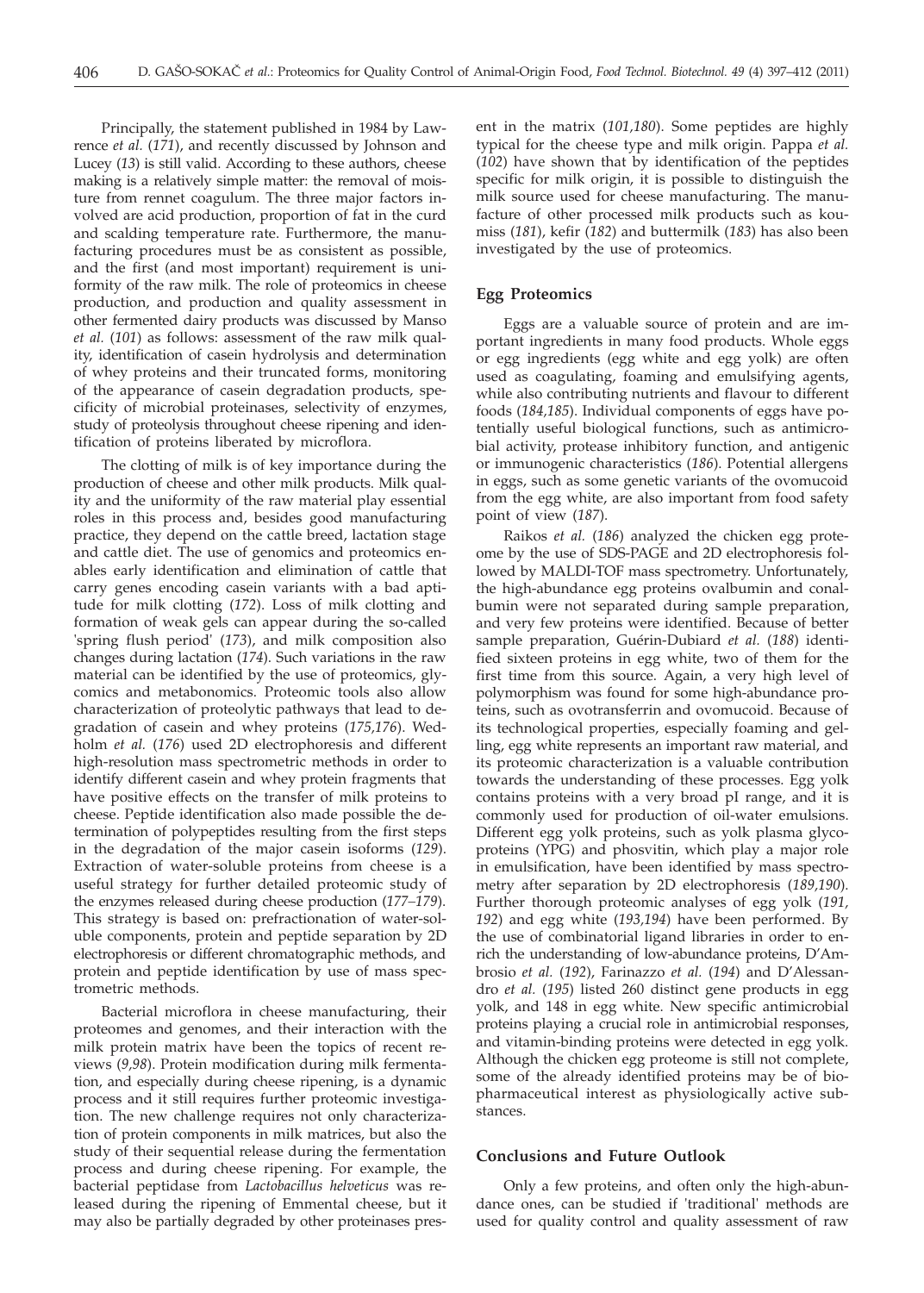Principally, the statement published in 1984 by Lawrence *et al.* (*171*), and recently discussed by Johnson and Lucey (*13*) is still valid. According to these authors, cheese making is a relatively simple matter: the removal of moisture from rennet coagulum. The three major factors involved are acid production, proportion of fat in the curd and scalding temperature rate. Furthermore, the manufacturing procedures must be as consistent as possible, and the first (and most important) requirement is uniformity of the raw milk. The role of proteomics in cheese production, and production and quality assessment in other fermented dairy products was discussed by Manso *et al.* (*101*) as follows: assessment of the raw milk quality, identification of casein hydrolysis and determination of whey proteins and their truncated forms, monitoring of the appearance of casein degradation products, specificity of microbial proteinases, selectivity of enzymes, study of proteolysis throughout cheese ripening and identification of proteins liberated by microflora.

The clotting of milk is of key importance during the production of cheese and other milk products. Milk quality and the uniformity of the raw material play essential roles in this process and, besides good manufacturing practice, they depend on the cattle breed, lactation stage and cattle diet. The use of genomics and proteomics enables early identification and elimination of cattle that carry genes encoding casein variants with a bad aptitude for milk clotting (*172*). Loss of milk clotting and formation of weak gels can appear during the so-called 'spring flush period' (*173*), and milk composition also changes during lactation (*174*). Such variations in the raw material can be identified by the use of proteomics, glycomics and metabonomics. Proteomic tools also allow characterization of proteolytic pathways that lead to degradation of casein and whey proteins (*175,176*). Wedholm *et al.* (*176*) used 2D electrophoresis and different high-resolution mass spectrometric methods in order to identify different casein and whey protein fragments that have positive effects on the transfer of milk proteins to cheese. Peptide identification also made possible the determination of polypeptides resulting from the first steps in the degradation of the major casein isoforms (*129*). Extraction of water-soluble proteins from cheese is a useful strategy for further detailed proteomic study of the enzymes released during cheese production (*177–179*). This strategy is based on: prefractionation of water-soluble components, protein and peptide separation by 2D electrophoresis or different chromatographic methods, and protein and peptide identification by use of mass spectrometric methods.

Bacterial microflora in cheese manufacturing, their proteomes and genomes, and their interaction with the milk protein matrix have been the topics of recent reviews (*9,98*). Protein modification during milk fermentation, and especially during cheese ripening, is a dynamic process and it still requires further proteomic investigation. The new challenge requires not only characterization of protein components in milk matrices, but also the study of their sequential release during the fermentation process and during cheese ripening. For example, the bacterial peptidase from *Lactobacillus helveticus* was released during the ripening of Emmental cheese, but it may also be partially degraded by other proteinases pres-

ent in the matrix (*101,180*). Some peptides are highly typical for the cheese type and milk origin. Pappa *et al.* (*102*) have shown that by identification of the peptides specific for milk origin, it is possible to distinguish the milk source used for cheese manufacturing. The manufacture of other processed milk products such as koumiss (*181*), kefir (*182*) and buttermilk (*183*) has also been investigated by the use of proteomics.

# **Egg Proteomics**

Eggs are a valuable source of protein and are important ingredients in many food products. Whole eggs or egg ingredients (egg white and egg yolk) are often used as coagulating, foaming and emulsifying agents, while also contributing nutrients and flavour to different foods (*184,185*). Individual components of eggs have potentially useful biological functions, such as antimicrobial activity, protease inhibitory function, and antigenic or immunogenic characteristics (*186*). Potential allergens in eggs, such as some genetic variants of the ovomucoid from the egg white, are also important from food safety point of view (*187*).

Raikos *et al.* (*186*) analyzed the chicken egg proteome by the use of SDS-PAGE and 2D electrophoresis followed by MALDI-TOF mass spectrometry. Unfortunately, the high-abundance egg proteins ovalbumin and conalbumin were not separated during sample preparation, and very few proteins were identified. Because of better sample preparation, Guérin-Dubiard *et al.* (*188*) identified sixteen proteins in egg white, two of them for the first time from this source. Again, a very high level of polymorphism was found for some high-abundance proteins, such as ovotransferrin and ovomucoid. Because of its technological properties, especially foaming and gelling, egg white represents an important raw material, and its proteomic characterization is a valuable contribution towards the understanding of these processes. Egg yolk contains proteins with a very broad pI range, and it is commonly used for production of oil-water emulsions. Different egg yolk proteins, such as yolk plasma glycoproteins (YPG) and phosvitin, which play a major role in emulsification, have been identified by mass spectrometry after separation by 2D electrophoresis (*189,190*). Further thorough proteomic analyses of egg yolk (*191, 192*) and egg white (*193,194*) have been performed. By the use of combinatorial ligand libraries in order to enrich the understanding of low-abundance proteins, D'Ambrosio *et al.* (*192*), Farinazzo *et al.* (*194*) and D'Alessandro *et al.* (*195*) listed 260 distinct gene products in egg yolk, and 148 in egg white. New specific antimicrobial proteins playing a crucial role in antimicrobial responses, and vitamin-binding proteins were detected in egg yolk. Although the chicken egg proteome is still not complete, some of the already identified proteins may be of biopharmaceutical interest as physiologically active substances.

# **Conclusions and Future Outlook**

Only a few proteins, and often only the high-abundance ones, can be studied if 'traditional' methods are used for quality control and quality assessment of raw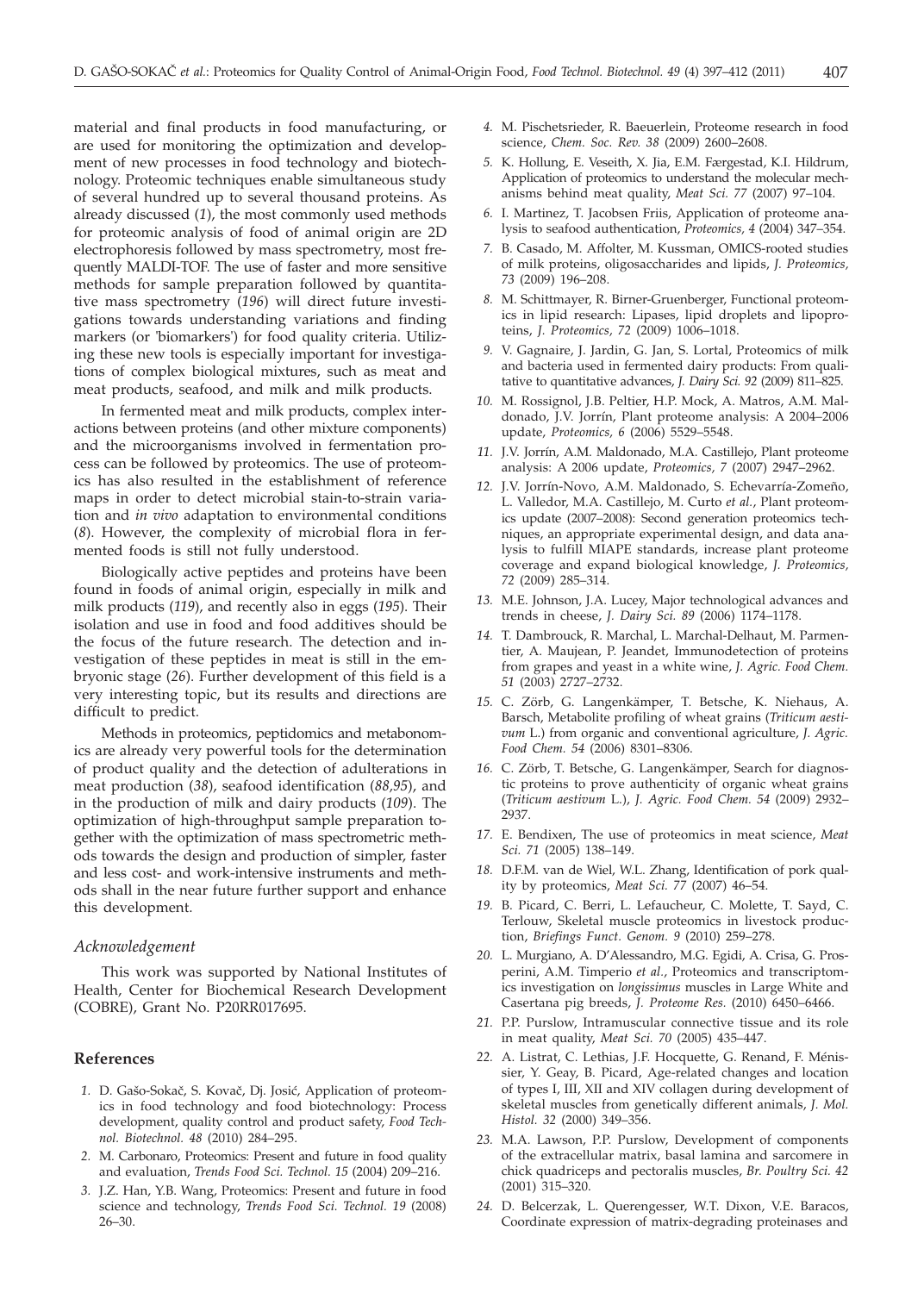material and final products in food manufacturing, or are used for monitoring the optimization and development of new processes in food technology and biotechnology. Proteomic techniques enable simultaneous study of several hundred up to several thousand proteins. As already discussed (*1*), the most commonly used methods for proteomic analysis of food of animal origin are 2D electrophoresis followed by mass spectrometry, most frequently MALDI-TOF. The use of faster and more sensitive methods for sample preparation followed by quantitative mass spectrometry (*196*) will direct future investigations towards understanding variations and finding markers (or 'biomarkers') for food quality criteria. Utilizing these new tools is especially important for investigations of complex biological mixtures, such as meat and meat products, seafood, and milk and milk products.

In fermented meat and milk products, complex interactions between proteins (and other mixture components) and the microorganisms involved in fermentation process can be followed by proteomics. The use of proteomics has also resulted in the establishment of reference maps in order to detect microbial stain-to-strain variation and *in vivo* adaptation to environmental conditions (*8*). However, the complexity of microbial flora in fermented foods is still not fully understood.

Biologically active peptides and proteins have been found in foods of animal origin, especially in milk and milk products (*119*), and recently also in eggs (*195*). Their isolation and use in food and food additives should be the focus of the future research. The detection and investigation of these peptides in meat is still in the embryonic stage (*26*). Further development of this field is a very interesting topic, but its results and directions are difficult to predict.

Methods in proteomics, peptidomics and metabonomics are already very powerful tools for the determination of product quality and the detection of adulterations in meat production (*38*), seafood identification (*88,95*), and in the production of milk and dairy products (*109*). The optimization of high-throughput sample preparation together with the optimization of mass spectrometric methods towards the design and production of simpler, faster and less cost- and work-intensive instruments and methods shall in the near future further support and enhance this development.

#### *Acknowledgement*

This work was supported by National Institutes of Health, Center for Biochemical Research Development (COBRE), Grant No. P20RR017695.

### **References**

- 1. D. Gašo-Sokač, S. Kovač, Dj. Josić, Application of proteomics in food technology and food biotechnology: Process development, quality control and product safety, *Food Technol. Biotechnol. 48* (2010) 284–295.
- *2.* M. Carbonaro, Proteomics: Present and future in food quality and evaluation, *Trends Food Sci. Technol. 15* (2004) 209–216.
- *3.* J.Z. Han, Y.B. Wang, Proteomics: Present and future in food science and technology, *Trends Food Sci. Technol. 19* (2008) 26–30.
- *4.* M. Pischetsrieder, R. Baeuerlein, Proteome research in food science, *Chem. Soc. Rev. 38* (2009) 2600–2608.
- *5.* K. Hollung, E. Veseith, X. Jia, E.M. Færgestad, K.I. Hildrum, Application of proteomics to understand the molecular mechanisms behind meat quality, *Meat Sci. 77* (2007) 97–104.
- *6.* I. Martinez, T. Jacobsen Friis, Application of proteome analysis to seafood authentication, *Proteomics, 4* (2004) 347–354.
- *7.* B. Casado, M. Affolter, M. Kussman, OMICS-rooted studies of milk proteins, oligosaccharides and lipids, *J. Proteomics, 73* (2009) 196–208.
- *8.* M. Schittmayer, R. Birner-Gruenberger, Functional proteomics in lipid research: Lipases, lipid droplets and lipoproteins, *J. Proteomics, 72* (2009) 1006–1018.
- *9.* V. Gagnaire, J. Jardin, G. Jan, S. Lortal, Proteomics of milk and bacteria used in fermented dairy products: From qualitative to quantitative advances, *J. Dairy Sci. 92* (2009) 811–825.
- *10.* M. Rossignol, J.B. Peltier, H.P. Mock, A. Matros, A.M. Maldonado, J.V. Jorrín, Plant proteome analysis: A 2004–2006 update, *Proteomics, 6* (2006) 5529–5548.
- *11.* J.V. Jorrín, A.M. Maldonado, M.A. Castillejo, Plant proteome analysis: A 2006 update, *Proteomics, 7* (2007) 2947–2962.
- *12.* J.V. Jorrín-Novo, A.M. Maldonado, S. Echevarría-Zomeño, L. Valledor, M.A. Castillejo, M. Curto *et al.*, Plant proteomics update (2007–2008): Second generation proteomics techniques, an appropriate experimental design, and data analysis to fulfill MIAPE standards, increase plant proteome coverage and expand biological knowledge, *J. Proteomics, 72* (2009) 285–314.
- *13.* M.E. Johnson, J.A. Lucey, Major technological advances and trends in cheese, *J. Dairy Sci. 89* (2006) 1174–1178.
- *14.* T. Dambrouck, R. Marchal, L. Marchal-Delhaut, M. Parmentier, A. Maujean, P. Jeandet, Immunodetection of proteins from grapes and yeast in a white wine, *J. Agric. Food Chem. 51* (2003) 2727–2732.
- *15.* C. Zörb, G. Langenkämper, T. Betsche, K. Niehaus, A. Barsch, Metabolite profiling of wheat grains (*Triticum aestivum* L.) from organic and conventional agriculture, *J. Agric. Food Chem. 54* (2006) 8301–8306.
- *16.* C. Zörb, T. Betsche, G. Langenkämper, Search for diagnostic proteins to prove authenticity of organic wheat grains (*Triticum aestivum* L.), *J. Agric. Food Chem. 54* (2009) 2932– 2937.
- *17.* E. Bendixen, The use of proteomics in meat science, *Meat Sci. 71* (2005) 138–149.
- *18.* D.F.M. van de Wiel, W.L. Zhang, Identification of pork quality by proteomics, *Meat Sci. 77* (2007) 46–54.
- *19.* B. Picard, C. Berri, L. Lefaucheur, C. Molette, T. Sayd, C. Terlouw, Skeletal muscle proteomics in livestock production, *Briefings Funct. Genom. 9* (2010) 259–278.
- *20.* L. Murgiano, A. D'Alessandro, M.G. Egidi, A. Crisa, G. Prosperini, A.M. Timperio *et al.*, Proteomics and transcriptomics investigation on *longissimus* muscles in Large White and Casertana pig breeds, *J. Proteome Res.* (2010) 6450–6466.
- *21.* P.P. Purslow, Intramuscular connective tissue and its role in meat quality, *Meat Sci. 70* (2005) 435–447.
- *22.* A. Listrat, C. Lethias, J.F. Hocquette, G. Renand, F. Ménissier, Y. Geay, B. Picard, Age-related changes and location of types I, III, XII and XIV collagen during development of skeletal muscles from genetically different animals, *J. Mol. Histol. 32* (2000) 349–356.
- *23.* M.A. Lawson, P.P. Purslow, Development of components of the extracellular matrix, basal lamina and sarcomere in chick quadriceps and pectoralis muscles, *Br. Poultry Sci. 42* (2001) 315–320.
- *24.* D. Belcerzak, L. Querengesser, W.T. Dixon, V.E. Baracos, Coordinate expression of matrix-degrading proteinases and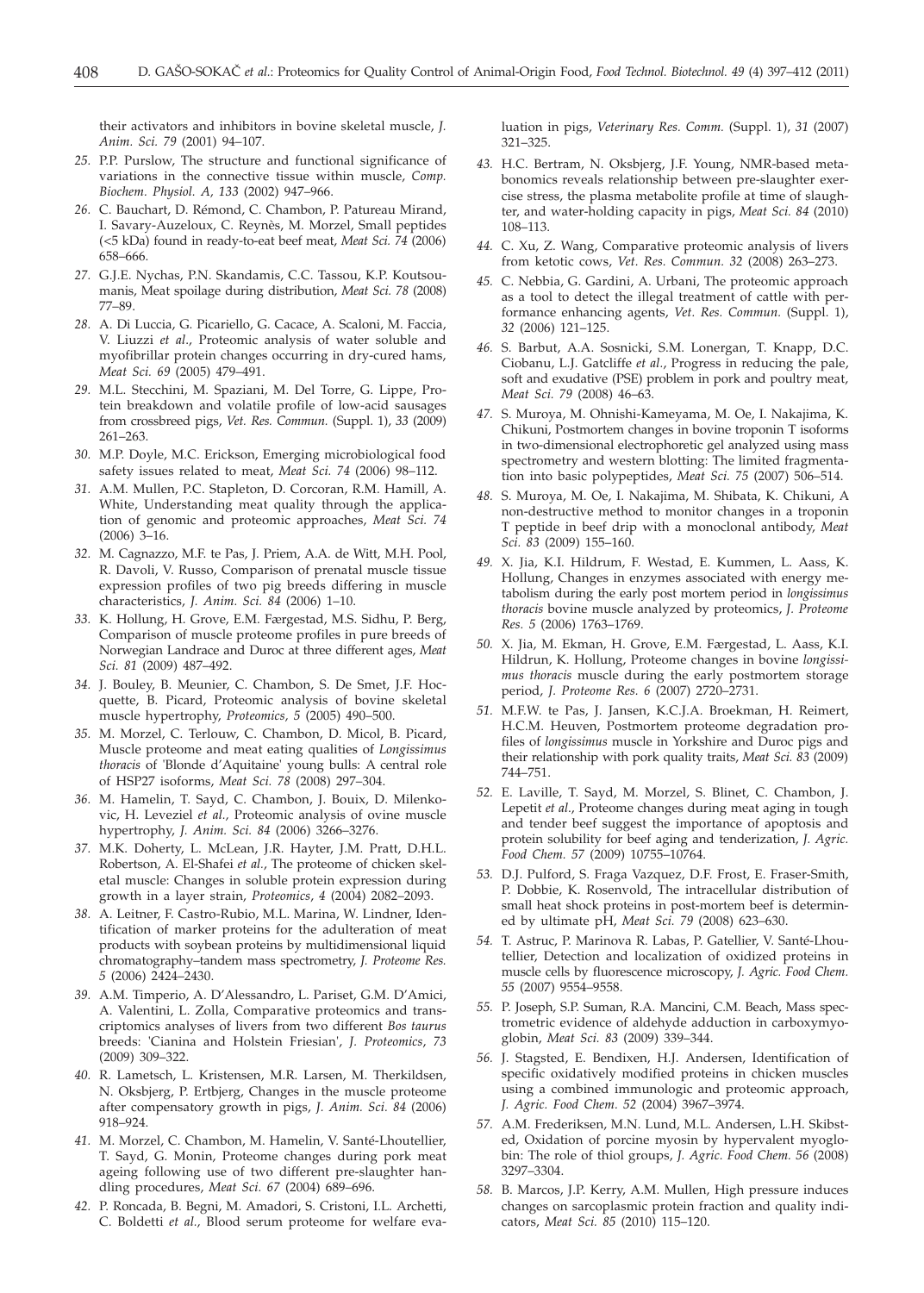their activators and inhibitors in bovine skeletal muscle, *J. Anim. Sci. 79* (2001) 94–107.

- *25.* P.P. Purslow, The structure and functional significance of variations in the connective tissue within muscle, *Comp. Biochem. Physiol. A, 133* (2002) 947–966.
- *26.* C. Bauchart, D. Rémond, C. Chambon, P. Patureau Mirand, I. Savary-Auzeloux, C. Reynès, M. Morzel, Small peptides (<5 kDa) found in ready-to-eat beef meat, *Meat Sci. 74* (2006) 658–666.
- *27.* G.J.E. Nychas, P.N. Skandamis, C.C. Tassou, K.P. Koutsoumanis, Meat spoilage during distribution, *Meat Sci. 78* (2008) 77–89.
- *28.* A. Di Luccia, G. Picariello, G. Cacace, A. Scaloni, M. Faccia, V. Liuzzi *et al*., Proteomic analysis of water soluble and myofibrillar protein changes occurring in dry-cured hams, *Meat Sci. 69* (2005) 479–491.
- *29.* M.L. Stecchini, M. Spaziani, M. Del Torre, G. Lippe, Protein breakdown and volatile profile of low-acid sausages from crossbreed pigs, *Vet. Res. Commun.* (Suppl. 1), *33* (2009) 261–263.
- *30.* M.P. Doyle, M.C. Erickson, Emerging microbiological food safety issues related to meat, *Meat Sci. 74* (2006) 98–112.
- *31.* A.M. Mullen, P.C. Stapleton, D. Corcoran, R.M. Hamill, A. White, Understanding meat quality through the application of genomic and proteomic approaches, *Meat Sci. 74* (2006) 3–16.
- *32.* M. Cagnazzo, M.F. te Pas, J. Priem, A.A. de Witt, M.H. Pool, R. Davoli, V. Russo, Comparison of prenatal muscle tissue expression profiles of two pig breeds differing in muscle characteristics, *J. Anim. Sci. 84* (2006) 1–10.
- *33.* K. Hollung, H. Grove, E.M. Færgestad, M.S. Sidhu, P. Berg, Comparison of muscle proteome profiles in pure breeds of Norwegian Landrace and Duroc at three different ages, *Meat Sci. 81* (2009) 487–492.
- *34.* J. Bouley, B. Meunier, C. Chambon, S. De Smet, J.F. Hocquette, B. Picard, Proteomic analysis of bovine skeletal muscle hypertrophy, *Proteomics, 5* (2005) 490–500.
- *35.* M. Morzel, C. Terlouw, C. Chambon, D. Micol, B. Picard, Muscle proteome and meat eating qualities of *Longissimus thoracis* of 'Blonde d'Aquitaine' young bulls: A central role of HSP27 isoforms, *Meat Sci. 78* (2008) 297–304.
- *36.* M. Hamelin, T. Sayd, C. Chambon, J. Bouix, D. Milenkovic, H. Leveziel *et al.,* Proteomic analysis of ovine muscle hypertrophy, *J. Anim. Sci. 84* (2006) 3266–3276.
- *37.* M.K. Doherty, L. McLean, J.R. Hayter, J.M. Pratt, D.H.L. Robertson, A. El-Shafei *et al.*, The proteome of chicken skeletal muscle: Changes in soluble protein expression during growth in a layer strain, *Proteomics*, *4* (2004) 2082–2093.
- *38.* A. Leitner, F. Castro-Rubio, M.L. Marina, W. Lindner, Identification of marker proteins for the adulteration of meat products with soybean proteins by multidimensional liquid chromatography–tandem mass spectrometry, *J. Proteome Res. 5* (2006) 2424–2430.
- *39.* A.M. Timperio, A. D'Alessandro, L. Pariset, G.M. D'Amici, A. Valentini, L. Zolla, Comparative proteomics and transcriptomics analyses of livers from two different *Bos taurus* breeds: 'Cianina and Holstein Friesian', *J. Proteomics*, *73* (2009) 309–322.
- *40.* R. Lametsch, L. Kristensen, M.R. Larsen, M. Therkildsen, N. Oksbjerg, P. Ertbjerg, Changes in the muscle proteome after compensatory growth in pigs, *J. Anim. Sci. 84* (2006) 918–924.
- *41.* M. Morzel, C. Chambon, M. Hamelin, V. Santé-Lhoutellier, T. Sayd, G. Monin, Proteome changes during pork meat ageing following use of two different pre-slaughter handling procedures, *Meat Sci. 67* (2004) 689–696.
- *42.* P. Roncada, B. Begni, M. Amadori, S. Cristoni, I.L. Archetti, C. Boldetti *et al.,* Blood serum proteome for welfare eva-

luation in pigs, *Veterinary Res. Comm.* (Suppl. 1), *31* (2007) 321–325.

- *43.* H.C. Bertram, N. Oksbjerg, J.F. Young, NMR-based metabonomics reveals relationship between pre-slaughter exercise stress, the plasma metabolite profile at time of slaughter, and water-holding capacity in pigs, *Meat Sci. 84* (2010) 108–113.
- *44.* C. Xu, Z. Wang, Comparative proteomic analysis of livers from ketotic cows, *Vet. Res. Commun. 32* (2008) 263–273.
- *45.* C. Nebbia, G. Gardini, A. Urbani, The proteomic approach as a tool to detect the illegal treatment of cattle with performance enhancing agents, *Vet. Res. Commun.* (Suppl. 1), *32* (2006) 121–125.
- *46.* S. Barbut, A.A. Sosnicki, S.M. Lonergan, T. Knapp, D.C. Ciobanu, L.J. Gatcliffe *et al.*, Progress in reducing the pale, soft and exudative (PSE) problem in pork and poultry meat, *Meat Sci. 79* (2008) 46–63.
- *47.* S. Muroya, M. Ohnishi-Kameyama, M. Oe, I. Nakajima, K. Chikuni, Postmortem changes in bovine troponin T isoforms in two-dimensional electrophoretic gel analyzed using mass spectrometry and western blotting: The limited fragmentation into basic polypeptides, *Meat Sci. 75* (2007) 506–514.
- *48.* S. Muroya, M. Oe, I. Nakajima, M. Shibata, K. Chikuni, A non-destructive method to monitor changes in a troponin T peptide in beef drip with a monoclonal antibody, *Meat Sci. 83* (2009) 155–160.
- *49.* X. Jia, K.I. Hildrum, F. Westad, E. Kummen, L. Aass, K. Hollung, Changes in enzymes associated with energy metabolism during the early post mortem period in *longissimus thoracis* bovine muscle analyzed by proteomics, *J. Proteome Res. 5* (2006) 1763–1769.
- *50.* X. Jia, M. Ekman, H. Grove, E.M. Færgestad, L. Aass, K.I. Hildrun, K. Hollung, Proteome changes in bovine *longissimus thoracis* muscle during the early postmortem storage period, *J. Proteome Res. 6* (2007) 2720–2731.
- *51.* M.F.W. te Pas, J. Jansen, K.C.J.A. Broekman, H. Reimert, H.C.M. Heuven, Postmortem proteome degradation profiles of *longissimus* muscle in Yorkshire and Duroc pigs and their relationship with pork quality traits, *Meat Sci. 83* (2009) 744–751.
- *52.* E. Laville, T. Sayd, M. Morzel, S. Blinet, C. Chambon, J. Lepetit *et al*., Proteome changes during meat aging in tough and tender beef suggest the importance of apoptosis and protein solubility for beef aging and tenderization, *J. Agric. Food Chem. 57* (2009) 10755–10764.
- *53.* D.J. Pulford, S. Fraga Vazquez, D.F. Frost, E. Fraser-Smith, P. Dobbie, K. Rosenvold, The intracellular distribution of small heat shock proteins in post-mortem beef is determined by ultimate pH, *Meat Sci. 79* (2008) 623–630.
- *54.* T. Astruc, P. Marinova R. Labas, P. Gatellier, V. Santé-Lhoutellier, Detection and localization of oxidized proteins in muscle cells by fluorescence microscopy, *J. Agric. Food Chem. 55* (2007) 9554–9558.
- *55.* P. Joseph, S.P. Suman, R.A. Mancini, C.M. Beach, Mass spectrometric evidence of aldehyde adduction in carboxymyoglobin, *Meat Sci. 83* (2009) 339–344.
- *56.* J. Stagsted, E. Bendixen, H.J. Andersen, Identification of specific oxidatively modified proteins in chicken muscles using a combined immunologic and proteomic approach, *J. Agric. Food Chem. 52* (2004) 3967–3974.
- *57.* A.M. Frederiksen, M.N. Lund, M.L. Andersen, L.H. Skibsted, Oxidation of porcine myosin by hypervalent myoglobin: The role of thiol groups, *J. Agric. Food Chem. 56* (2008) 3297–3304.
- *58.* B. Marcos, J.P. Kerry, A.M. Mullen, High pressure induces changes on sarcoplasmic protein fraction and quality indicators, *Meat Sci. 85* (2010) 115–120.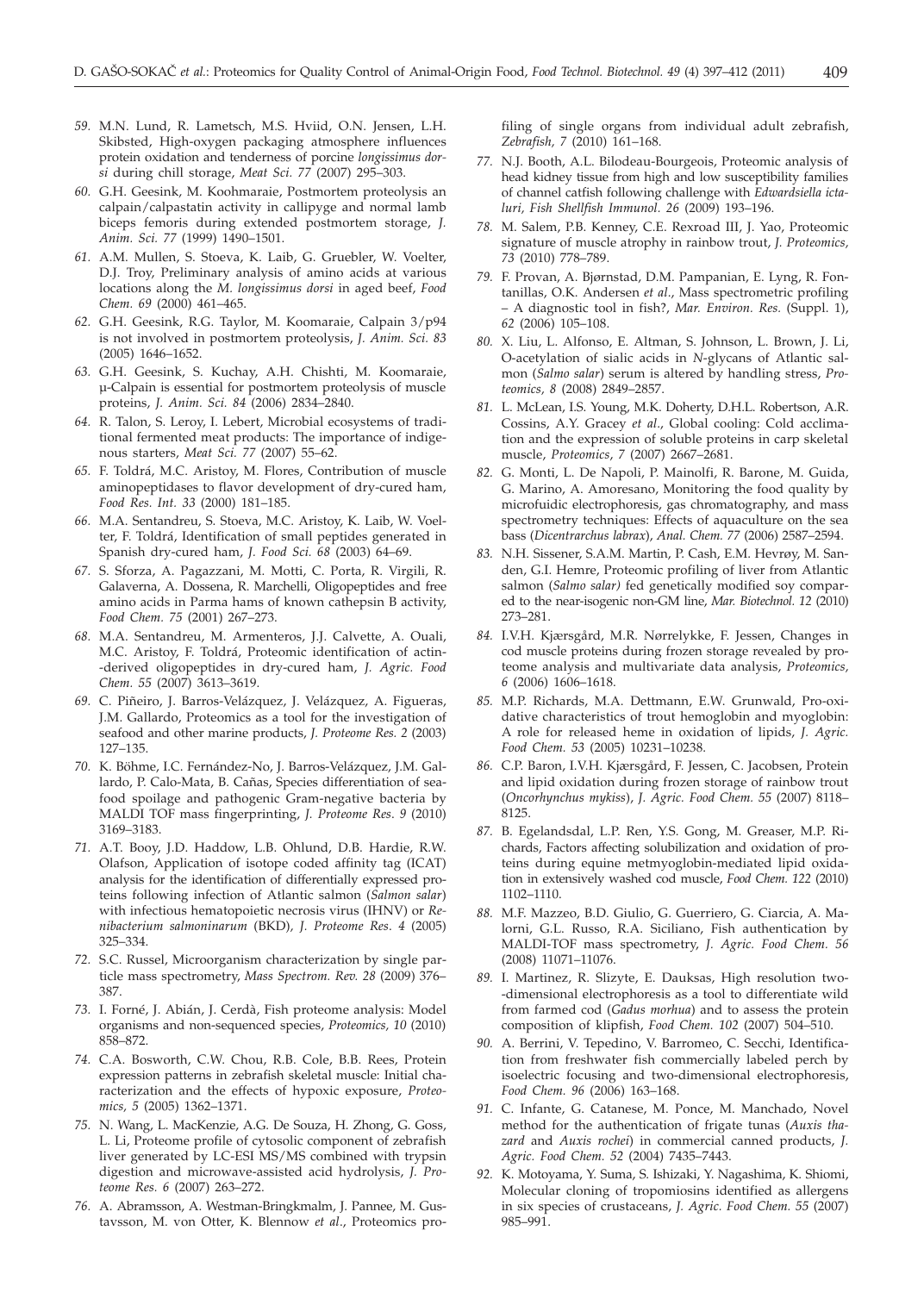- *59.* M.N. Lund, R. Lametsch, M.S. Hviid, O.N. Jensen, L.H. Skibsted, High-oxygen packaging atmosphere influences protein oxidation and tenderness of porcine *longissimus dorsi* during chill storage, *Meat Sci. 77* (2007) 295–303.
- *60.* G.H. Geesink, M. Koohmaraie, Postmortem proteolysis an calpain/calpastatin activity in callipyge and normal lamb biceps femoris during extended postmortem storage, *J. Anim. Sci. 77* (1999) 1490–1501.
- *61.* A.M. Mullen, S. Stoeva, K. Laib, G. Gruebler, W. Voelter, D.J. Troy, Preliminary analysis of amino acids at various locations along the *M. longissimus dorsi* in aged beef, *Food Chem. 69* (2000) 461–465.
- *62.* G.H. Geesink, R.G. Taylor, M. Koomaraie, Calpain 3/p94 is not involved in postmortem proteolysis, *J. Anim. Sci. 83* (2005) 1646–1652.
- *63.* G.H. Geesink, S. Kuchay, A.H. Chishti, M. Koomaraie, µ-Calpain is essential for postmortem proteolysis of muscle proteins, *J. Anim. Sci. 84* (2006) 2834–2840.
- *64.* R. Talon, S. Leroy, I. Lebert, Microbial ecosystems of traditional fermented meat products: The importance of indigenous starters, *Meat Sci. 77* (2007) 55–62.
- *65.* F. Toldrá, M.C. Aristoy, M. Flores, Contribution of muscle aminopeptidases to flavor development of dry-cured ham, *Food Res. Int. 33* (2000) 181–185.
- *66.* M.A. Sentandreu, S. Stoeva, M.C. Aristoy, K. Laib, W. Voelter, F. Toldrá, Identification of small peptides generated in Spanish dry-cured ham, *J. Food Sci. 68* (2003) 64–69.
- *67.* S. Sforza, A. Pagazzani, M. Motti, C. Porta, R. Virgili, R. Galaverna, A. Dossena, R. Marchelli, Oligopeptides and free amino acids in Parma hams of known cathepsin B activity, *Food Chem. 75* (2001) 267–273.
- *68.* M.A. Sentandreu, M. Armenteros, J.J. Calvette, A. Ouali, M.C. Aristoy, F. Toldrá, Proteomic identification of actin- -derived oligopeptides in dry-cured ham, *J. Agric. Food Chem. 55* (2007) 3613–3619.
- *69.* C. Piñeiro, J. Barros-Velázquez, J. Velázquez, A. Figueras, J.M. Gallardo, Proteomics as a tool for the investigation of seafood and other marine products, *J. Proteome Res. 2* (2003) 127–135.
- *70.* K. Böhme, I.C. Fernández-No, J. Barros-Velázquez, J.M. Gallardo, P. Calo-Mata, B. Cañas, Species differentiation of seafood spoilage and pathogenic Gram-negative bacteria by MALDI TOF mass fingerprinting, *J. Proteome Res*. *9* (2010) 3169–3183.
- *71.* A.T. Booy, J.D. Haddow, L.B. Ohlund, D.B. Hardie, R.W. Olafson, Application of isotope coded affinity tag (ICAT) analysis for the identification of differentially expressed proteins following infection of Atlantic salmon (*Salmon salar*) with infectious hematopoietic necrosis virus (IHNV) or *Renibacterium salmoninarum* (BKD)*, J. Proteome Res*. *4* (2005) 325–334.
- *72.* S.C. Russel, Microorganism characterization by single particle mass spectrometry, *Mass Spectrom. Rev. 28* (2009) 376– 387.
- *73.* I. Forné, J. Abián, J. Cerdà, Fish proteome analysis: Model organisms and non-sequenced species, *Proteomics, 10* (2010) 858–872.
- *74.* C.A. Bosworth, C.W. Chou, R.B. Cole, B.B. Rees, Protein expression patterns in zebrafish skeletal muscle: Initial characterization and the effects of hypoxic exposure, *Proteomics, 5* (2005) 1362–1371.
- *75.* N. Wang, L. MacKenzie, A.G. De Souza, H. Zhong, G. Goss, L. Li, Proteome profile of cytosolic component of zebrafish liver generated by LC-ESI MS/MS combined with trypsin digestion and microwave-assisted acid hydrolysis, *J. Proteome Res. 6* (2007) 263–272.
- *76.* A. Abramsson, A. Westman-Bringkmalm, J. Pannee, M. Gustavsson, M. von Otter, K. Blennow *et al*., Proteomics pro-

filing of single organs from individual adult zebrafish, *Zebrafish, 7* (2010) 161–168.

- *77.* N.J. Booth, A.L. Bilodeau-Bourgeois, Proteomic analysis of head kidney tissue from high and low susceptibility families of channel catfish following challenge with *Edwardsiella ictaluri, Fish Shellfish Immunol. 26* (2009) 193–196.
- *78.* M. Salem, P.B. Kenney, C.E. Rexroad III, J. Yao, Proteomic signature of muscle atrophy in rainbow trout, *J. Proteomics, 73* (2010) 778–789.
- *79.* F. Provan, A. Bjørnstad, D.M. Pampanian, E. Lyng, R. Fontanillas, O.K. Andersen *et al*., Mass spectrometric profiling – A diagnostic tool in fish?, *Mar. Environ. Res.* (Suppl. 1), *62* (2006) 105–108.
- *80.* X. Liu, L. Alfonso, E. Altman, S. Johnson, L. Brown, J. Li, O-acetylation of sialic acids in *N*-glycans of Atlantic salmon (*Salmo salar*) serum is altered by handling stress, *Proteomics, 8* (2008) 2849–2857.
- *81.* L. McLean, I.S. Young, M.K. Doherty, D.H.L. Robertson, A.R. Cossins, A.Y. Gracey *et al*., Global cooling: Cold acclimation and the expression of soluble proteins in carp skeletal muscle, *Proteomics*, *7* (2007) 2667–2681.
- *82.* G. Monti, L. De Napoli, P. Mainolfi, R. Barone, M. Guida, G. Marino, A. Amoresano, Monitoring the food quality by microfuidic electrophoresis, gas chromatography, and mass spectrometry techniques: Effects of aquaculture on the sea bass (*Dicentrarchus labrax*), *Anal. Chem. 77* (2006) 2587–2594.
- *83.* N.H. Sissener, S.A.M. Martin, P. Cash, E.M. Hevrøy, M. Sanden, G.I. Hemre, Proteomic profiling of liver from Atlantic salmon (*Salmo salar)* fed genetically modified soy compared to the near-isogenic non-GM line, *Mar. Biotechnol. 12* (2010) 273–281.
- *84.* I.V.H. Kjærsgård, M.R. Nørrelykke, F. Jessen, Changes in cod muscle proteins during frozen storage revealed by proteome analysis and multivariate data analysis, *Proteomics, 6* (2006) 1606–1618.
- *85.* M.P. Richards, M.A. Dettmann, E.W. Grunwald, Pro-oxidative characteristics of trout hemoglobin and myoglobin: A role for released heme in oxidation of lipids, *J. Agric. Food Chem. 53* (2005) 10231–10238.
- *86.* C.P. Baron, I.V.H. Kjærsgård, F. Jessen, C. Jacobsen, Protein and lipid oxidation during frozen storage of rainbow trout (*Oncorhynchus mykiss*), *J. Agric. Food Chem. 55* (2007) 8118– 8125.
- *87.* B. Egelandsdal, L.P. Ren, Y.S. Gong, M. Greaser, M.P. Richards, Factors affecting solubilization and oxidation of proteins during equine metmyoglobin-mediated lipid oxidation in extensively washed cod muscle, *Food Chem. 122* (2010) 1102–1110.
- *88.* M.F. Mazzeo, B.D. Giulio, G. Guerriero, G. Ciarcia, A. Malorni, G.L. Russo, R.A. Siciliano, Fish authentication by MALDI-TOF mass spectrometry, *J. Agric. Food Chem. 56* (2008) 11071–11076.
- *89.* I. Martinez, R. Slizyte, E. Dauksas, High resolution two- -dimensional electrophoresis as a tool to differentiate wild from farmed cod (*Gadus morhua*) and to assess the protein composition of klipfish, *Food Chem. 102* (2007) 504–510.
- *90.* A. Berrini, V. Tepedino, V. Barromeo, C. Secchi, Identification from freshwater fish commercially labeled perch by isoelectric focusing and two-dimensional electrophoresis, *Food Chem. 96* (2006) 163–168.
- *91.* C. Infante, G. Catanese, M. Ponce, M. Manchado, Novel method for the authentication of frigate tunas (*Auxis thazard* and *Auxis rochei*) in commercial canned products, *J. Agric. Food Chem. 52* (2004) 7435–7443.
- *92.* K. Motoyama, Y. Suma, S. Ishizaki, Y. Nagashima, K. Shiomi, Molecular cloning of tropomiosins identified as allergens in six species of crustaceans, *J. Agric. Food Chem. 55* (2007) 985–991.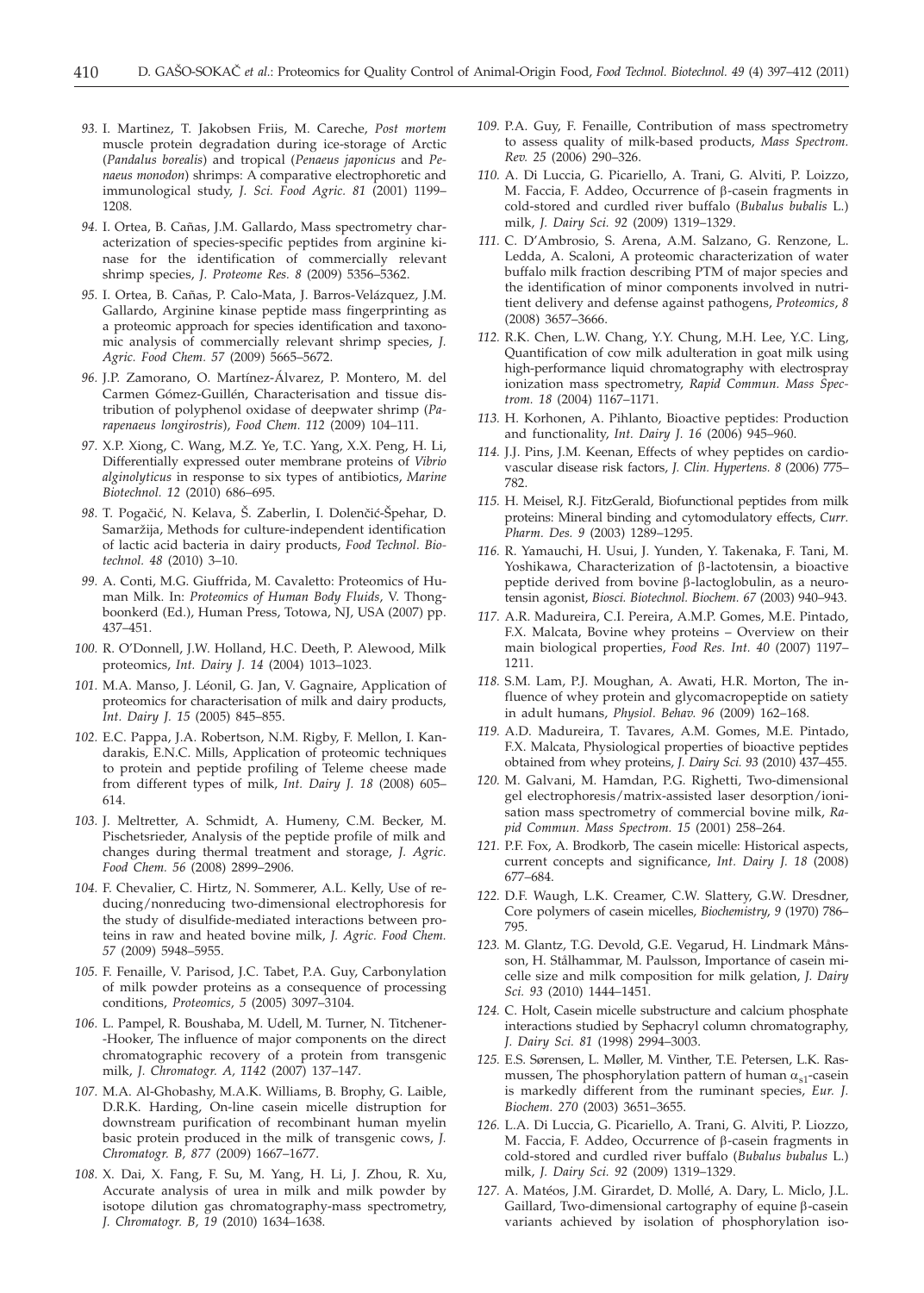- *93.* I. Martinez, T. Jakobsen Friis, M. Careche, *Post mortem* muscle protein degradation during ice-storage of Arctic (*Pandalus borealis*) and tropical (*Penaeus japonicus* and *Penaeus monodon*) shrimps: A comparative electrophoretic and immunological study, *J. Sci. Food Agric. 81* (2001) 1199– 1208.
- *94.* I. Ortea, B. Cañas, J.M. Gallardo, Mass spectrometry characterization of species-specific peptides from arginine kinase for the identification of commercially relevant shrimp species, *J. Proteome Res. 8* (2009) 5356–5362.
- *95.* I. Ortea, B. Cañas, P. Calo-Mata, J. Barros-Velázquez, J.M. Gallardo, Arginine kinase peptide mass fingerprinting as a proteomic approach for species identification and taxonomic analysis of commercially relevant shrimp species, *J. Agric. Food Chem. 57* (2009) 5665–5672.
- *96.* J.P. Zamorano, O. Martínez-Álvarez, P. Montero, M. del Carmen Gómez-Guillén, Characterisation and tissue distribution of polyphenol oxidase of deepwater shrimp (*Parapenaeus longirostris*), *Food Chem. 112* (2009) 104–111.
- *97.* X.P. Xiong, C. Wang, M.Z. Ye, T.C. Yang, X.X. Peng, H. Li, Differentially expressed outer membrane proteins of *Vibrio alginolyticus* in response to six types of antibiotics, *Marine Biotechnol. 12* (2010) 686–695.
- 98. T. Pogačić, N. Kelava, Š. Zaberlin, I. Dolenčić-Špehar, D. Samaržija, Methods for culture-independent identification of lactic acid bacteria in dairy products, *Food Technol. Biotechnol. 48* (2010) 3–10.
- *99.* A. Conti, M.G. Giuffrida, M. Cavaletto: Proteomics of Human Milk. In: *Proteomics of Human Body Fluids*, V. Thongboonkerd (Ed.), Human Press, Totowa, NJ, USA (2007) pp. 437–451.
- *100.* R. O'Donnell, J.W. Holland, H.C. Deeth, P. Alewood, Milk proteomics, *Int. Dairy J. 14* (2004) 1013–1023.
- *101.* M.A. Manso, J. Léonil, G. Jan, V. Gagnaire, Application of proteomics for characterisation of milk and dairy products, *Int. Dairy J. 15* (2005) 845–855.
- *102.* E.C. Pappa, J.A. Robertson, N.M. Rigby, F. Mellon, I. Kandarakis, E.N.C. Mills, Application of proteomic techniques to protein and peptide profiling of Teleme cheese made from different types of milk, *Int. Dairy J. 18* (2008) 605– 614.
- *103.* J. Meltretter, A. Schmidt, A. Humeny, C.M. Becker, M. Pischetsrieder, Analysis of the peptide profile of milk and changes during thermal treatment and storage, *J. Agric. Food Chem. 56* (2008) 2899–2906.
- *104.* F. Chevalier, C. Hirtz, N. Sommerer, A.L. Kelly, Use of reducing/nonreducing two-dimensional electrophoresis for the study of disulfide-mediated interactions between proteins in raw and heated bovine milk, *J. Agric. Food Chem. 57* (2009) 5948–5955.
- *105.* F. Fenaille, V. Parisod, J.C. Tabet, P.A. Guy, Carbonylation of milk powder proteins as a consequence of processing conditions, *Proteomics, 5* (2005) 3097–3104.
- *106.* L. Pampel, R. Boushaba, M. Udell, M. Turner, N. Titchener- -Hooker, The influence of major components on the direct chromatographic recovery of a protein from transgenic milk, *J. Chromatogr. A, 1142* (2007) 137–147.
- *107.* M.A. Al-Ghobashy, M.A.K. Williams, B. Brophy, G. Laible, D.R.K. Harding, On-line casein micelle distruption for downstream purification of recombinant human myelin basic protein produced in the milk of transgenic cows, *J. Chromatogr. B, 877* (2009) 1667–1677.
- *108.* X. Dai, X. Fang, F. Su, M. Yang, H. Li, J. Zhou, R. Xu, Accurate analysis of urea in milk and milk powder by isotope dilution gas chromatography-mass spectrometry, *J. Chromatogr. B, 19* (2010) 1634–1638.
- *109.* P.A. Guy, F. Fenaille, Contribution of mass spectrometry to assess quality of milk-based products, *Mass Spectrom. Rev. 25* (2006) 290–326.
- *110.* A. Di Luccia, G. Picariello, A. Trani, G. Alviti, P. Loizzo, M. Faccia, F. Addeo, Occurrence of b-casein fragments in cold-stored and curdled river buffalo (*Bubalus bubalis* L.) milk, *J. Dairy Sci. 92* (2009) 1319–1329.
- *111.* C. D'Ambrosio, S. Arena, A.M. Salzano, G. Renzone, L. Ledda, A. Scaloni, A proteomic characterization of water buffalo milk fraction describing PTM of major species and the identification of minor components involved in nutritient delivery and defense against pathogens, *Proteomics*, *8* (2008) 3657–3666.
- *112.* R.K. Chen, L.W. Chang, Y.Y. Chung, M.H. Lee, Y.C. Ling, Quantification of cow milk adulteration in goat milk using high-performance liquid chromatography with electrospray ionization mass spectrometry, *Rapid Commun. Mass Spectrom. 18* (2004) 1167–1171.
- *113.* H. Korhonen, A. Pihlanto, Bioactive peptides: Production and functionality, *Int. Dairy J. 16* (2006) 945–960.
- *114.* J.J. Pins, J.M. Keenan, Effects of whey peptides on cardiovascular disease risk factors, *J. Clin. Hypertens. 8* (2006) 775– 782.
- *115.* H. Meisel, R.J. FitzGerald, Biofunctional peptides from milk proteins: Mineral binding and cytomodulatory effects, *Curr. Pharm. Des. 9* (2003) 1289–1295.
- *116.* R. Yamauchi, H. Usui, J. Yunden, Y. Takenaka, F. Tani, M. Yoshikawa, Characterization of b-lactotensin, a bioactive peptide derived from bovine  $\beta$ -lactoglobulin, as a neurotensin agonist, *Biosci. Biotechnol. Biochem. 67* (2003) 940–943.
- *117.* A.R. Madureira, C.I. Pereira, A.M.P. Gomes, M.E. Pintado, F.X. Malcata, Bovine whey proteins – Overview on their main biological properties, *Food Res. Int. 40* (2007) 1197– 1211.
- *118.* S.M. Lam, P.J. Moughan, A. Awati, H.R. Morton, The influence of whey protein and glycomacropeptide on satiety in adult humans, *Physiol. Behav. 96* (2009) 162–168.
- *119.* A.D. Madureira, T. Tavares, A.M. Gomes, M.E. Pintado, F.X. Malcata, Physiological properties of bioactive peptides obtained from whey proteins, *J. Dairy Sci. 93* (2010) 437–455.
- *120.* M. Galvani, M. Hamdan, P.G. Righetti, Two-dimensional gel electrophoresis/matrix-assisted laser desorption/ionisation mass spectrometry of commercial bovine milk, *Rapid Commun. Mass Spectrom. 15* (2001) 258–264.
- *121.* P.F. Fox, A. Brodkorb, The casein micelle: Historical aspects, current concepts and significance, *Int. Dairy J. 18* (2008) 677–684.
- *122.* D.F. Waugh, L.K. Creamer, C.W. Slattery, G.W. Dresdner, Core polymers of casein micelles, *Biochemistry*, *9* (1970) 786– 795.
- *123.* M. Glantz, T.G. Devold, G.E. Vegarud, H. Lindmark Månsson, H. Stålhammar, M. Paulsson, Importance of casein micelle size and milk composition for milk gelation, *J. Dairy Sci. 93* (2010) 1444–1451.
- *124.* C. Holt, Casein micelle substructure and calcium phosphate interactions studied by Sephacryl column chromatography, *J. Dairy Sci. 81* (1998) 2994–3003.
- *125.* E.S. Sørensen, L. Møller, M. Vinther, T.E. Petersen, L.K. Rasmussen, The phosphorylation pattern of human  $\alpha_{s1}$ -casein is markedly different from the ruminant species, *Eur. J. Biochem. 270* (2003) 3651–3655.
- *126.* L.A. Di Luccia, G. Picariello, A. Trani, G. Alviti, P. Liozzo, M. Faccia, F. Addeo, Occurrence of b-casein fragments in cold-stored and curdled river buffalo (*Bubalus bubalus* L.) milk, *J. Dairy Sci. 92* (2009) 1319–1329.
- *127.* A. Matéos, J.M. Girardet, D. Mollé, A. Dary, L. Miclo, J.L. Gaillard, Two-dimensional cartography of equine  $\beta$ -casein variants achieved by isolation of phosphorylation iso-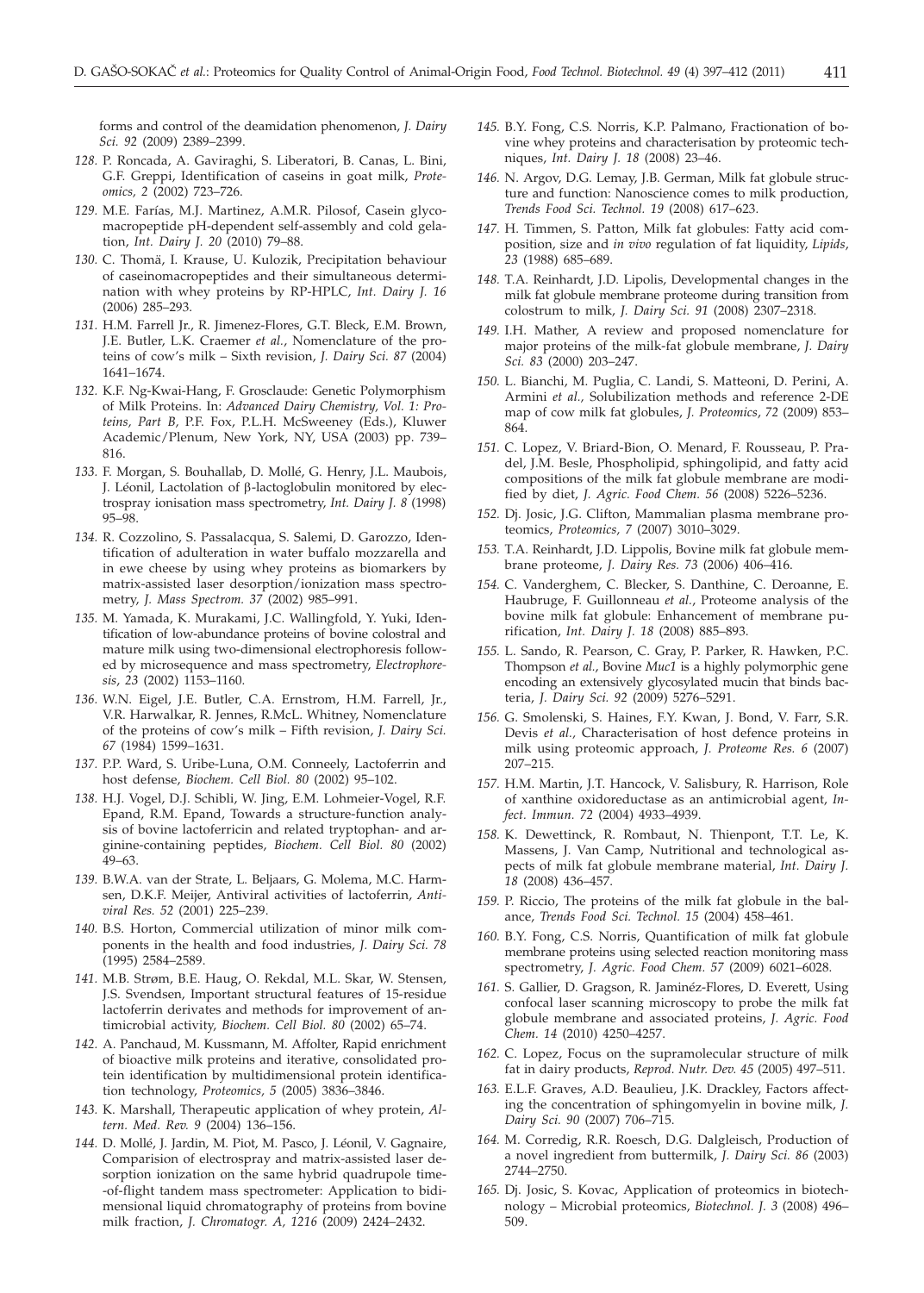forms and control of the deamidation phenomenon, *J. Dairy Sci. 92* (2009) 2389–2399.

- *128.* P. Roncada, A. Gaviraghi, S. Liberatori, B. Canas, L. Bini, G.F. Greppi, Identification of caseins in goat milk, *Proteomics, 2* (2002) 723–726.
- *129.* M.E. Farías, M.J. Martinez, A.M.R. Pilosof, Casein glycomacropeptide pH-dependent self-assembly and cold gelation, *Int. Dairy J. 20* (2010) 79–88.
- *130.* C. Thomä, I. Krause, U. Kulozik, Precipitation behaviour of caseinomacropeptides and their simultaneous determination with whey proteins by RP-HPLC, *Int. Dairy J. 16* (2006) 285–293.
- *131.* H.M. Farrell Jr., R. Jimenez-Flores, G.T. Bleck, E.M. Brown, J.E. Butler, L.K. Craemer *et al.*, Nomenclature of the proteins of cow's milk – Sixth revision, *J. Dairy Sci. 87* (2004) 1641–1674.
- *132.* K.F. Ng-Kwai-Hang, F. Grosclaude: Genetic Polymorphism of Milk Proteins. In: *Advanced Dairy Chemistry, Vol. 1: Proteins, Part B,* P.F. Fox, P.L.H. McSweeney (Eds.), Kluwer Academic/Plenum, New York, NY, USA (2003) pp. 739– 816.
- *133.* F. Morgan, S. Bouhallab, D. Mollé, G. Henry, J.L. Maubois, J. Léonil, Lactolation of  $\beta$ -lactoglobulin monitored by electrospray ionisation mass spectrometry, *Int. Dairy J. 8* (1998) 95–98.
- *134.* R. Cozzolino, S. Passalacqua, S. Salemi, D. Garozzo, Identification of adulteration in water buffalo mozzarella and in ewe cheese by using whey proteins as biomarkers by matrix-assisted laser desorption/ionization mass spectrometry, *J. Mass Spectrom. 37* (2002) 985–991.
- *135.* M. Yamada, K. Murakami, J.C. Wallingfold, Y. Yuki, Identification of low-abundance proteins of bovine colostral and mature milk using two-dimensional electrophoresis followed by microsequence and mass spectrometry, *Electrophoresis*, *23* (2002) 1153–1160.
- *136.* W.N. Eigel, J.E. Butler, C.A. Ernstrom, H.M. Farrell, Jr., V.R. Harwalkar, R. Jennes, R.McL. Whitney, Nomenclature of the proteins of cow's milk – Fifth revision, *J. Dairy Sci. 67* (1984) 1599–1631.
- *137.* P.P. Ward, S. Uribe-Luna, O.M. Conneely, Lactoferrin and host defense, *Biochem. Cell Biol. 80* (2002) 95–102.
- *138.* H.J. Vogel, D.J. Schibli, W. Jing, E.M. Lohmeier-Vogel, R.F. Epand, R.M. Epand, Towards a structure-function analysis of bovine lactoferricin and related tryptophan- and arginine-containing peptides, *Biochem. Cell Biol. 80* (2002) 49–63.
- *139.* B.W.A. van der Strate, L. Beljaars, G. Molema, M.C. Harmsen, D.K.F. Meijer, Antiviral activities of lactoferrin, *Antiviral Res. 52* (2001) 225–239.
- *140.* B.S. Horton, Commercial utilization of minor milk components in the health and food industries, *J. Dairy Sci. 78* (1995) 2584–2589.
- *141.* M.B. Strøm, B.E. Haug, O. Rekdal, M.L. Skar, W. Stensen, J.S. Svendsen, Important structural features of 15-residue lactoferrin derivates and methods for improvement of antimicrobial activity, *Biochem. Cell Biol. 80* (2002) 65–74.
- *142.* A. Panchaud, M. Kussmann, M. Affolter, Rapid enrichment of bioactive milk proteins and iterative, consolidated protein identification by multidimensional protein identification technology, *Proteomics, 5* (2005) 3836–3846.
- *143.* K. Marshall, Therapeutic application of whey protein, *Altern. Med. Rev. 9* (2004) 136–156.
- *144.* D. Mollé, J. Jardin, M. Piot, M. Pasco, J. Léonil, V. Gagnaire, Comparision of electrospray and matrix-assisted laser desorption ionization on the same hybrid quadrupole time- -of-flight tandem mass spectrometer: Application to bidimensional liquid chromatography of proteins from bovine milk fraction, *J. Chromatogr. A, 1216* (2009) 2424–2432.
- *145.* B.Y. Fong, C.S. Norris, K.P. Palmano, Fractionation of bovine whey proteins and characterisation by proteomic techniques, *Int. Dairy J. 18* (2008) 23–46.
- *146.* N. Argov, D.G. Lemay, J.B. German, Milk fat globule structure and function: Nanoscience comes to milk production, *Trends Food Sci. Technol. 19* (2008) 617–623.
- *147.* H. Timmen, S. Patton, Milk fat globules: Fatty acid composition, size and *in vivo* regulation of fat liquidity, *Lipids*, *23* (1988) 685–689.
- *148.* T.A. Reinhardt, J.D. Lipolis, Developmental changes in the milk fat globule membrane proteome during transition from colostrum to milk, *J. Dairy Sci. 91* (2008) 2307–2318.
- *149.* I.H. Mather, A review and proposed nomenclature for major proteins of the milk-fat globule membrane, *J. Dairy Sci. 83* (2000) 203–247.
- *150.* L. Bianchi, M. Puglia, C. Landi, S. Matteoni, D. Perini, A. Armini *et al.,* Solubilization methods and reference 2-DE map of cow milk fat globules, *J. Proteomics*, *72* (2009) 853– 864.
- *151.* C. Lopez, V. Briard-Bion, O. Menard, F. Rousseau, P. Pradel, J.M. Besle, Phospholipid, sphingolipid, and fatty acid compositions of the milk fat globule membrane are modified by diet, *J. Agric. Food Chem. 56* (2008) 5226–5236.
- *152.* Dj. Josic, J.G. Clifton, Mammalian plasma membrane proteomics, *Proteomics, 7* (2007) 3010–3029.
- *153.* T.A. Reinhardt, J.D. Lippolis, Bovine milk fat globule membrane proteome, *J. Dairy Res. 73* (2006) 406–416.
- *154.* C. Vanderghem, C. Blecker, S. Danthine, C. Deroanne, E. Haubruge, F. Guillonneau *et al.*, Proteome analysis of the bovine milk fat globule: Enhancement of membrane purification, *Int. Dairy J. 18* (2008) 885–893.
- *155.* L. Sando, R. Pearson, C. Gray, P. Parker, R. Hawken, P.C. Thompson *et al.*, Bovine *Muc1* is a highly polymorphic gene encoding an extensively glycosylated mucin that binds bacteria, *J. Dairy Sci. 92* (2009) 5276–5291.
- *156.* G. Smolenski, S. Haines, F.Y. Kwan, J. Bond, V. Farr, S.R. Devis *et al.,* Characterisation of host defence proteins in milk using proteomic approach, *J. Proteome Res. 6* (2007) 207–215.
- *157.* H.M. Martin, J.T. Hancock, V. Salisbury, R. Harrison, Role of xanthine oxidoreductase as an antimicrobial agent, *Infect. Immun. 72* (2004) 4933–4939.
- *158.* K. Dewettinck, R. Rombaut, N. Thienpont, T.T. Le, K. Massens, J. Van Camp, Nutritional and technological aspects of milk fat globule membrane material, *Int. Dairy J. 18* (2008) 436–457.
- *159.* P. Riccio, The proteins of the milk fat globule in the balance, *Trends Food Sci. Technol. 15* (2004) 458–461.
- *160.* B.Y. Fong, C.S. Norris, Quantification of milk fat globule membrane proteins using selected reaction monitoring mass spectrometry, *J. Agric. Food Chem. 57* (2009) 6021–6028.
- *161.* S. Gallier, D. Gragson, R. Jaminéz-Flores, D. Everett, Using confocal laser scanning microscopy to probe the milk fat globule membrane and associated proteins, *J. Agric. Food Chem. 14* (2010) 4250–4257.
- *162.* C. Lopez, Focus on the supramolecular structure of milk fat in dairy products, *Reprod. Nutr. Dev. 45* (2005) 497–511.
- *163.* E.L.F. Graves, A.D. Beaulieu, J.K. Drackley, Factors affecting the concentration of sphingomyelin in bovine milk, *J. Dairy Sci. 90* (2007) 706–715.
- *164.* M. Corredig, R.R. Roesch, D.G. Dalgleisch, Production of a novel ingredient from buttermilk, *J. Dairy Sci. 86* (2003) 2744–2750.
- *165.* Dj. Josic, S. Kovac, Application of proteomics in biotechnology – Microbial proteomics, *Biotechnol. J. 3* (2008) 496– 509.